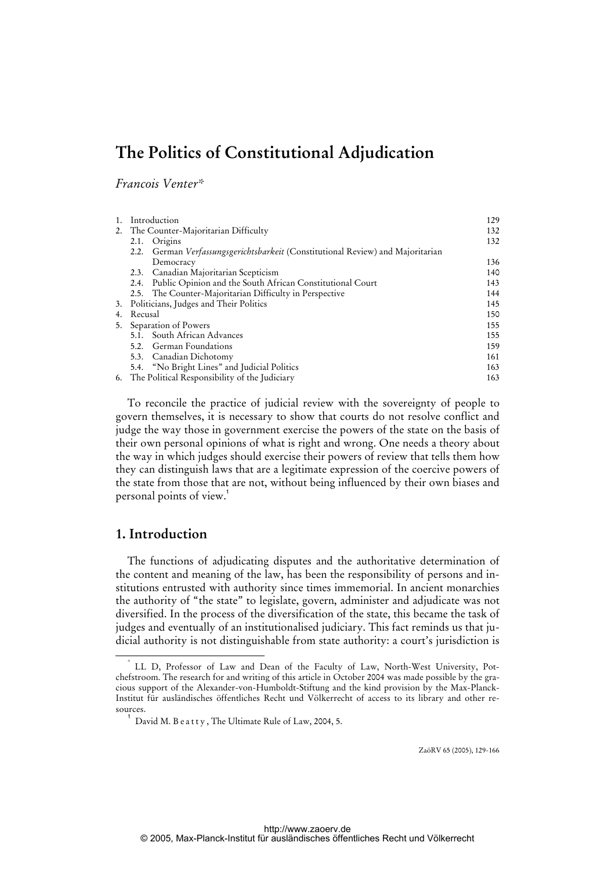# **The Politics of Constitutional Adjudication**

*Francois Venter\** 

| 1. | Introduction                                                                       | 129 |
|----|------------------------------------------------------------------------------------|-----|
|    | 2. The Counter-Majoritarian Difficulty                                             | 132 |
|    | 2.1. Origins                                                                       | 132 |
|    | German Verfassungsgerichtsbarkeit (Constitutional Review) and Majoritarian<br>2.2. |     |
|    | Democracy                                                                          | 136 |
|    | 2.3. Canadian Majoritarian Scepticism                                              | 140 |
|    | Public Opinion and the South African Constitutional Court<br>2.4.                  | 143 |
|    | 2.5. The Counter-Majoritarian Difficulty in Perspective                            | 144 |
|    | 3. Politicians, Judges and Their Politics                                          | 145 |
| 4. | Recusal                                                                            | 150 |
|    | 5. Separation of Powers                                                            | 155 |
|    | 5.1. South African Advances                                                        | 155 |
|    | 5.2. German Foundations                                                            | 159 |
|    | 5.3. Canadian Dichotomy                                                            | 161 |
|    | 5.4. "No Bright Lines" and Judicial Politics                                       | 163 |
|    | 6. The Political Responsibility of the Judiciary                                   | 163 |

To reconcile the practice of judicial review with the sovereignty of people to govern themselves, it is necessary to show that courts do not resolve conflict and judge the way those in government exercise the powers of the state on the basis of their own personal opinions of what is right and wrong. One needs a theory about the way in which judges should exercise their powers of review that tells them how they can distinguish laws that are a legitimate expression of the coercive powers of the state from those that are not, without being influenced by their own biases and personal points of view.<sup>1</sup>

## **1. Introduction**

The functions of adjudicating disputes and the authoritative determination of the content and meaning of the law, has been the responsibility of persons and institutions entrusted with authority since times immemorial. In ancient monarchies the authority of "the state" to legislate, govern, administer and adjudicate was not diversified. In the process of the diversification of the state, this became the task of judges and eventually of an institutionalised judiciary. This fact reminds us that judicial authority is not distinguishable from state authority: a court's jurisdiction is

ZaöRV 65 (2005), 129-166

 <sup>\*</sup> LL D, Professor of Law and Dean of the Faculty of Law, North-West University, Potchefstroom. The research for and writing of this article in October 2004 was made possible by the gracious support of the Alexander-von-Humboldt-Stiftung and the kind provision by the Max-Planck-Institut für ausländisches öffentliches Recht und Völkerrecht of access to its library and other resources.

 $^1$  David M. B e a t t y , The Ultimate Rule of Law, 2004, 5.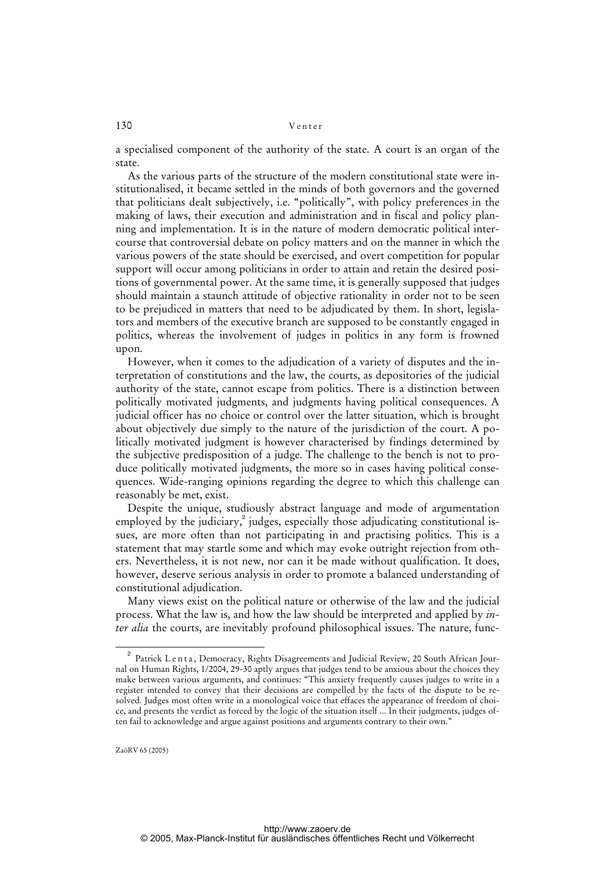a specialised component of the authority of the state. A court is an organ of the state.

As the various parts of the structure of the modern constitutional state were institutionalised, it became settled in the minds of both governors and the governed that politicians dealt subjectively, i.e. "politically", with policy preferences in the making of laws, their execution and administration and in fiscal and policy planning and implementation. It is in the nature of modern democratic political intercourse that controversial debate on policy matters and on the manner in which the various powers of the state should be exercised, and overt competition for popular support will occur among politicians in order to attain and retain the desired positions of governmental power. At the same time, it is generally supposed that judges should maintain a staunch attitude of objective rationality in order not to be seen to be prejudiced in matters that need to be adjudicated by them. In short, legislators and members of the executive branch are supposed to be constantly engaged in politics, whereas the involvement of judges in politics in any form is frowned upon.

However, when it comes to the adjudication of a variety of disputes and the interpretation of constitutions and the law, the courts, as depositories of the judicial authority of the state, cannot escape from politics. There is a distinction between politically motivated judgments, and judgments having political consequences. A judicial officer has no choice or control over the latter situation, which is brought about objectively due simply to the nature of the jurisdiction of the court. A politically motivated judgment is however characterised by findings determined by the subjective predisposition of a judge. The challenge to the bench is not to produce politically motivated judgments, the more so in cases having political consequences. Wide-ranging opinions regarding the degree to which this challenge can reasonably be met, exist.

Despite the unique, studiously abstract language and mode of argumentation employed by the judiciary, $2$  judges, especially those adjudicating constitutional issues, are more often than not participating in and practising politics. This is a statement that may startle some and which may evoke outright rejection from others. Nevertheless, it is not new, nor can it be made without qualification. It does, however, deserve serious analysis in order to promote a balanced understanding of constitutional adjudication.

Many views exist on the political nature or otherwise of the law and the judicial process. What the law is, and how the law should be interpreted and applied by *inter alia* the courts, are inevitably profound philosophical issues. The nature, func-

 $\overline{a}$  Patrick L e n t a , Democracy, Rights Disagreements and Judicial Review, 20 South African Journal on Human Rights, 1/2004, 29-30 aptly argues that judges tend to be anxious about the choices they make between various arguments, and continues: "This anxiety frequently causes judges to write in a register intended to convey that their decisions are compelled by the facts of the dispute to be resolved. Judges most often write in a monological voice that effaces the appearance of freedom of choice, and presents the verdict as forced by the logic of the situation itself ... In their judgments, judges often fail to acknowledge and argue against positions and arguments contrary to their own."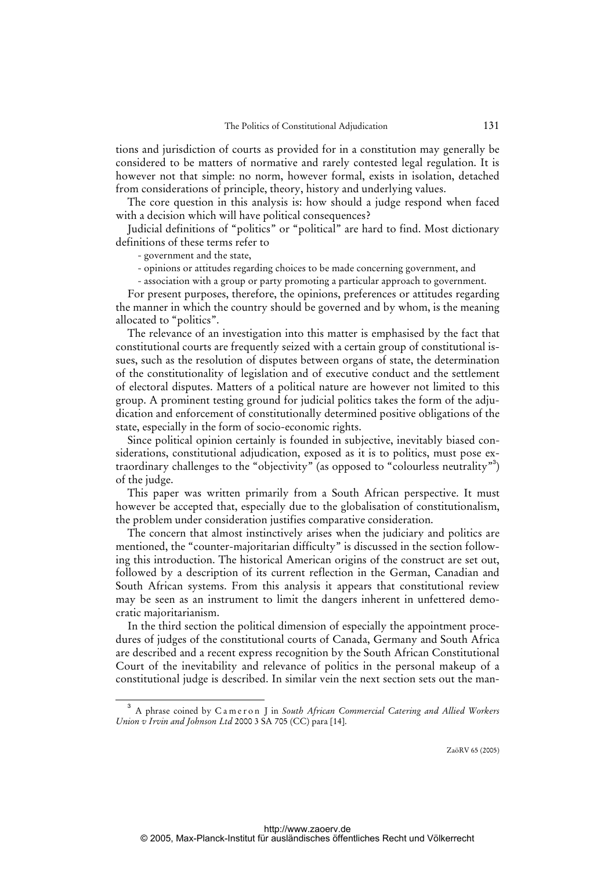tions and jurisdiction of courts as provided for in a constitution may generally be considered to be matters of normative and rarely contested legal regulation. It is however not that simple: no norm, however formal, exists in isolation, detached from considerations of principle, theory, history and underlying values.

The core question in this analysis is: how should a judge respond when faced with a decision which will have political consequences?

Judicial definitions of "politics" or "political" are hard to find. Most dictionary definitions of these terms refer to

- government and the state,

- opinions or attitudes regarding choices to be made concerning government, and

- association with a group or party promoting a particular approach to government.

For present purposes, therefore, the opinions, preferences or attitudes regarding the manner in which the country should be governed and by whom, is the meaning allocated to "politics".

The relevance of an investigation into this matter is emphasised by the fact that constitutional courts are frequently seized with a certain group of constitutional issues, such as the resolution of disputes between organs of state, the determination of the constitutionality of legislation and of executive conduct and the settlement of electoral disputes. Matters of a political nature are however not limited to this group. A prominent testing ground for judicial politics takes the form of the adjudication and enforcement of constitutionally determined positive obligations of the state, especially in the form of socio-economic rights.

Since political opinion certainly is founded in subjective, inevitably biased considerations, constitutional adjudication, exposed as it is to politics, must pose extraordinary challenges to the "objectivity" (as opposed to "colourless neutrality"<sup>3</sup>) of the judge.

This paper was written primarily from a South African perspective. It must however be accepted that, especially due to the globalisation of constitutionalism, the problem under consideration justifies comparative consideration.

The concern that almost instinctively arises when the judiciary and politics are mentioned, the "counter-majoritarian difficulty" is discussed in the section following this introduction. The historical American origins of the construct are set out, followed by a description of its current reflection in the German, Canadian and South African systems. From this analysis it appears that constitutional review may be seen as an instrument to limit the dangers inherent in unfettered democratic majoritarianism.

In the third section the political dimension of especially the appointment procedures of judges of the constitutional courts of Canada, Germany and South Africa are described and a recent express recognition by the South African Constitutional Court of the inevitability and relevance of politics in the personal makeup of a constitutional judge is described. In similar vein the next section sets out the man-

<sup>3</sup> A phrase coined by C a m e r o n J in *South African Commercial Catering and Allied Workers Union v Irvin and Johnson Ltd* 2000 3 SA 705 (CC) para [14].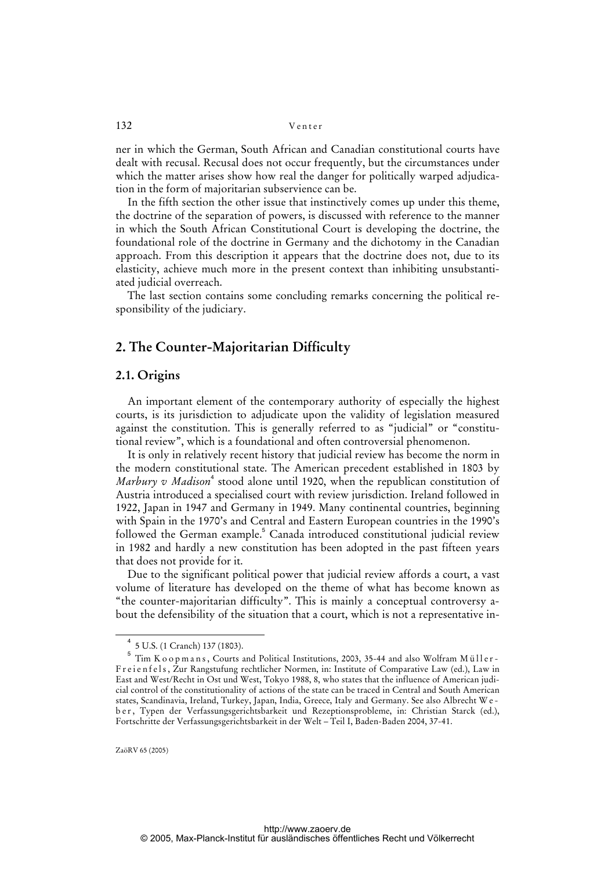ner in which the German, South African and Canadian constitutional courts have dealt with recusal. Recusal does not occur frequently, but the circumstances under which the matter arises show how real the danger for politically warped adjudication in the form of majoritarian subservience can be.

In the fifth section the other issue that instinctively comes up under this theme, the doctrine of the separation of powers, is discussed with reference to the manner in which the South African Constitutional Court is developing the doctrine, the foundational role of the doctrine in Germany and the dichotomy in the Canadian approach. From this description it appears that the doctrine does not, due to its elasticity, achieve much more in the present context than inhibiting unsubstantiated judicial overreach.

The last section contains some concluding remarks concerning the political responsibility of the judiciary.

## **2. The Counter-Majoritarian Difficulty**

## **2.1. Origins**

An important element of the contemporary authority of especially the highest courts, is its jurisdiction to adjudicate upon the validity of legislation measured against the constitution. This is generally referred to as "judicial" or "constitutional review", which is a foundational and often controversial phenomenon.

It is only in relatively recent history that judicial review has become the norm in the modern constitutional state. The American precedent established in 1803 by Marbury v Madison<sup>4</sup> stood alone until 1920, when the republican constitution of Austria introduced a specialised court with review jurisdiction. Ireland followed in 1922, Japan in 1947 and Germany in 1949. Many continental countries, beginning with Spain in the 1970's and Central and Eastern European countries in the 1990's followed the German example.<sup>5</sup> Canada introduced constitutional judicial review in 1982 and hardly a new constitution has been adopted in the past fifteen years that does not provide for it.

Due to the significant political power that judicial review affords a court, a vast volume of literature has developed on the theme of what has become known as "the counter-majoritarian difficulty". This is mainly a conceptual controversy about the defensibility of the situation that a court, which is not a representative in-

<sup>4</sup> 5 U.S. (1 Cranch) 137 (1803).

<sup>5</sup> Tim K o op m a n s, Courts and Political Institutions, 2003, 35-44 and also Wolfram M üller-F r e i e n f e l s , Zur Rangstufung rechtlicher Normen, in: Institute of Comparative Law (ed.), Law in East and West/Recht in Ost und West, Tokyo 1988, 8, who states that the influence of American judicial control of the constitutionality of actions of the state can be traced in Central and South American states, Scandinavia, Ireland, Turkey, Japan, India, Greece, Italy and Germany. See also Albrecht W e b e r , Typen der Verfassungsgerichtsbarkeit und Rezeptionsprobleme, in: Christian Starck (ed.), Fortschritte der Verfassungsgerichtsbarkeit in der Welt – Teil I, Baden-Baden 2004, 37-41.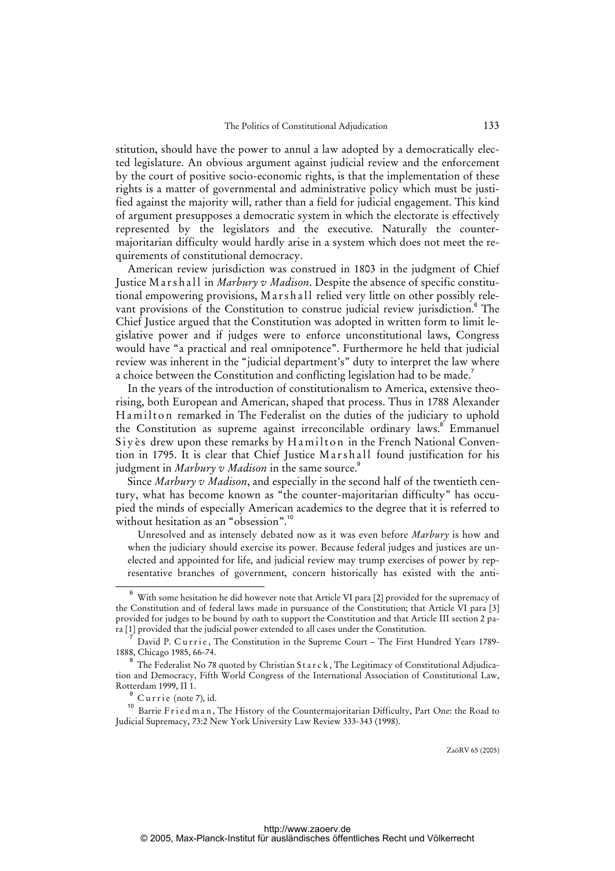stitution, should have the power to annul a law adopted by a democratically elected legislature. An obvious argument against judicial review and the enforcement by the court of positive socio-economic rights, is that the implementation of these rights is a matter of governmental and administrative policy which must be justified against the majority will, rather than a field for judicial engagement. This kind of argument presupposes a democratic system in which the electorate is effectively represented by the legislators and the executive. Naturally the countermajoritarian difficulty would hardly arise in a system which does not meet the requirements of constitutional democracy.

American review jurisdiction was construed in 1803 in the judgment of Chief Justice Marshall in *Marbury v Madison*. Despite the absence of specific constitutional empowering provisions, Marshall relied very little on other possibly relevant provisions of the Constitution to construe judicial review jurisdiction.<sup>6</sup> The Chief Justice argued that the Constitution was adopted in written form to limit legislative power and if judges were to enforce unconstitutional laws, Congress would have "a practical and real omnipotence". Furthermore he held that judicial review was inherent in the "judicial department's" duty to interpret the law where a choice between the Constitution and conflicting legislation had to be made.<sup>7</sup>

In the years of the introduction of constitutionalism to America, extensive theorising, both European and American, shaped that process. Thus in 1788 Alexander H a milton remarked in The Federalist on the duties of the judiciary to uphold the Constitution as supreme against irreconcilable ordinary laws.<sup>8</sup> Emmanuel Siyès drew upon these remarks by Hamilton in the French National Convention in 1795. It is clear that Chief Justice Marshall found justification for his judgment in *Marbury v Madison* in the same source.<sup>9</sup>

Since *Marbury v Madison*, and especially in the second half of the twentieth century, what has become known as "the counter-majoritarian difficulty" has occupied the minds of especially American academics to the degree that it is referred to without hesitation as an "obsession".<sup>10</sup>

Unresolved and as intensely debated now as it was even before *Marbury* is how and when the judiciary should exercise its power. Because federal judges and justices are unelected and appointed for life, and judicial review may trump exercises of power by representative branches of government, concern historically has existed with the anti-

<sup>6</sup> With some hesitation he did however note that Article VI para [2] provided for the supremacy of the Constitution and of federal laws made in pursuance of the Constitution; that Article VI para [3] provided for judges to be bound by oath to support the Constitution and that Article III section 2 para [1] provided that the judicial power extended to all cases under the Constitution.

<sup>7</sup> David P. Currie, The Constitution in the Supreme Court – The First Hundred Years 1789-1888, Chicago 1985, 66-74.

<sup>8</sup> The Federalist No 78 quoted by Christian S t a r c k , The Legitimacy of Constitutional Adjudication and Democracy, Fifth World Congress of the International Association of Constitutional Law, Rotterdam 1999, II 1.

<sup>9</sup> Currie (note 7), id.

<sup>&</sup>lt;sup>10</sup> Barrie Friedman, The History of the Countermajoritarian Difficulty, Part One: the Road to Judicial Supremacy, 73:2 New York University Law Review 333-343 (1998).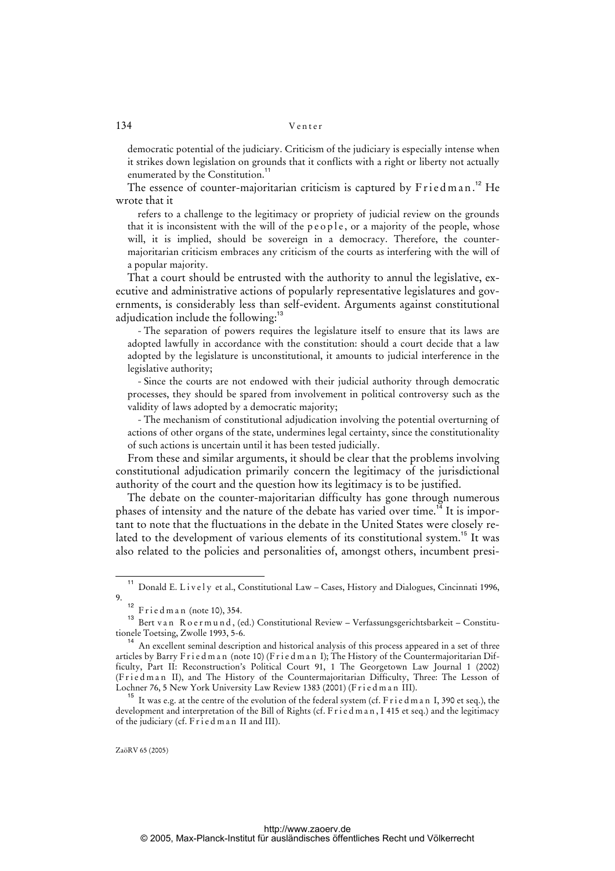democratic potential of the judiciary. Criticism of the judiciary is especially intense when it strikes down legislation on grounds that it conflicts with a right or liberty not actually enumerated by the Constitution.<sup>11</sup>

The essence of counter-majoritarian criticism is captured by  $F$ ried man.<sup>12</sup> He wrote that it

refers to a challenge to the legitimacy or propriety of judicial review on the grounds that it is inconsistent with the will of the p e o p l e, or a majority of the people, whose will, it is implied, should be sovereign in a democracy. Therefore, the countermajoritarian criticism embraces any criticism of the courts as interfering with the will of a popular majority.

That a court should be entrusted with the authority to annul the legislative, executive and administrative actions of popularly representative legislatures and governments, is considerably less than self-evident. Arguments against constitutional adjudication include the following:<sup>13</sup>

- The separation of powers requires the legislature itself to ensure that its laws are adopted lawfully in accordance with the constitution: should a court decide that a law adopted by the legislature is unconstitutional, it amounts to judicial interference in the legislative authority;

- Since the courts are not endowed with their judicial authority through democratic processes, they should be spared from involvement in political controversy such as the validity of laws adopted by a democratic majority;

- The mechanism of constitutional adjudication involving the potential overturning of actions of other organs of the state, undermines legal certainty, since the constitutionality of such actions is uncertain until it has been tested judicially.

From these and similar arguments, it should be clear that the problems involving constitutional adjudication primarily concern the legitimacy of the jurisdictional authority of the court and the question how its legitimacy is to be justified.

The debate on the counter-majoritarian difficulty has gone through numerous phases of intensity and the nature of the debate has varied over time.<sup>14</sup> It is important to note that the fluctuations in the debate in the United States were closely related to the development of various elements of its constitutional system.<sup>15</sup> It was also related to the policies and personalities of, amongst others, incumbent presi-

<sup>&</sup>lt;sup>11</sup> Donald E. Lively et al., Constitutional Law – Cases, History and Dialogues, Cincinnati 1996, 9.

<sup>&</sup>lt;sup>12</sup> F r i e d m a n (note 10), 354.

<sup>&</sup>lt;sup>13</sup> Bert van Roermund, (ed.) Constitutional Review – Verfassungsgerichtsbarkeit – Constitutionele Toetsing, Zwolle 1993, 5-6.

<sup>&</sup>lt;sup>14</sup> An excellent seminal description and historical analysis of this process appeared in a set of three articles by Barry F r i e d m a n (note 10) (F r i e d m a n I); The History of the Countermajoritarian Difficulty, Part II: Reconstruction's Political Court 91, 1 The Georgetown Law Journal 1 (2002) (Friedman II), and The History of the Countermajoritarian Difficulty, Three: The Lesson of Lochner 76, 5 New York University Law Review 1383 (2001) (Friedman III).

<sup>&</sup>lt;sup>15</sup> It was e.g. at the centre of the evolution of the federal system (cf. Fried man I, 390 et seq.), the development and interpretation of the Bill of Rights (cf. F r i e d m a n , I 415 et seq.) and the legitimacy of the judiciary (cf. Fried man II and III).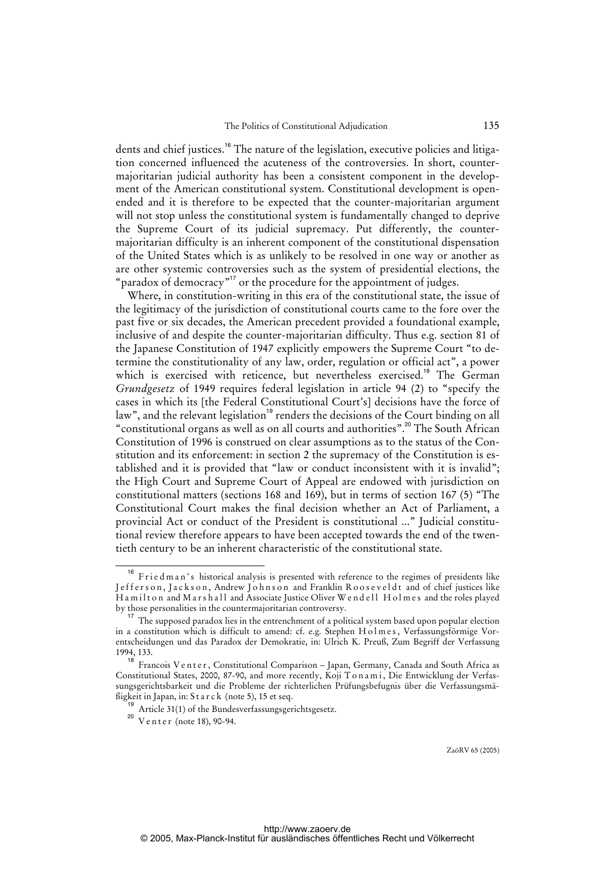dents and chief justices.<sup>16</sup> The nature of the legislation, executive policies and litigation concerned influenced the acuteness of the controversies. In short, countermajoritarian judicial authority has been a consistent component in the development of the American constitutional system. Constitutional development is openended and it is therefore to be expected that the counter-majoritarian argument will not stop unless the constitutional system is fundamentally changed to deprive the Supreme Court of its judicial supremacy. Put differently, the countermajoritarian difficulty is an inherent component of the constitutional dispensation of the United States which is as unlikely to be resolved in one way or another as are other systemic controversies such as the system of presidential elections, the "paradox of democracy"<sup>17</sup> or the procedure for the appointment of judges.

Where, in constitution-writing in this era of the constitutional state, the issue of the legitimacy of the jurisdiction of constitutional courts came to the fore over the past five or six decades, the American precedent provided a foundational example, inclusive of and despite the counter-majoritarian difficulty. Thus e.g. section 81 of the Japanese Constitution of 1947 explicitly empowers the Supreme Court "to determine the constitutionality of any law, order, regulation or official act", a power which is exercised with reticence, but nevertheless exercised.<sup>18</sup> The German *Grundgesetz* of 1949 requires federal legislation in article 94 (2) to "specify the cases in which its [the Federal Constitutional Court's] decisions have the force of law", and the relevant legislation<sup>19</sup> renders the decisions of the Court binding on all "constitutional organs as well as on all courts and authorities".<sup>20</sup> The South African Constitution of 1996 is construed on clear assumptions as to the status of the Constitution and its enforcement: in section 2 the supremacy of the Constitution is established and it is provided that "law or conduct inconsistent with it is invalid"; the High Court and Supreme Court of Appeal are endowed with jurisdiction on constitutional matters (sections 168 and 169), but in terms of section 167 (5) "The Constitutional Court makes the final decision whether an Act of Parliament, a provincial Act or conduct of the President is constitutional ..." Judicial constitutional review therefore appears to have been accepted towards the end of the twentieth century to be an inherent characteristic of the constitutional state.

<sup>&</sup>lt;sup>16</sup> Fried man's historical analysis is presented with reference to the regimes of presidents like J efferson, Jackson, Andrew Johnson and Franklin Rooseveldt and of chief justices like H a m ilt o n and M a r s h a l l and Associate Justice Oliver W e n d e l l H o l m e s and the roles played by those personalities in the countermajoritarian controversy.

<sup>&</sup>lt;sup>17</sup> The supposed paradox lies in the entrenchment of a political system based upon popular election in a constitution which is difficult to amend: cf. e.g. Stephen H o l m e s, Verfassungsförmige Vorentscheidungen und das Paradox der Demokratie, in: Ulrich K. Preuß, Zum Begriff der Verfassung 1994, 133.

<sup>&</sup>lt;sup>18</sup> Francois V e n t e r, Constitutional Comparison – Japan, Germany, Canada and South Africa as Constitutional States, 2000, 87-90, and more recently, Koji T o n a m i, Die Entwicklung der Verfassungsgerichtsbarkeit und die Probleme der richterlichen Prüfungsbefugnis über die Verfassungsmäßigkeit in Japan, in: S t a r c k (note 5), 15 et seq.

<sup>&</sup>lt;sup>19</sup> Article 31(1) of the Bundesverfassungsgerichtsgesetz.

 $20$  V e n t e r (note 18), 90-94.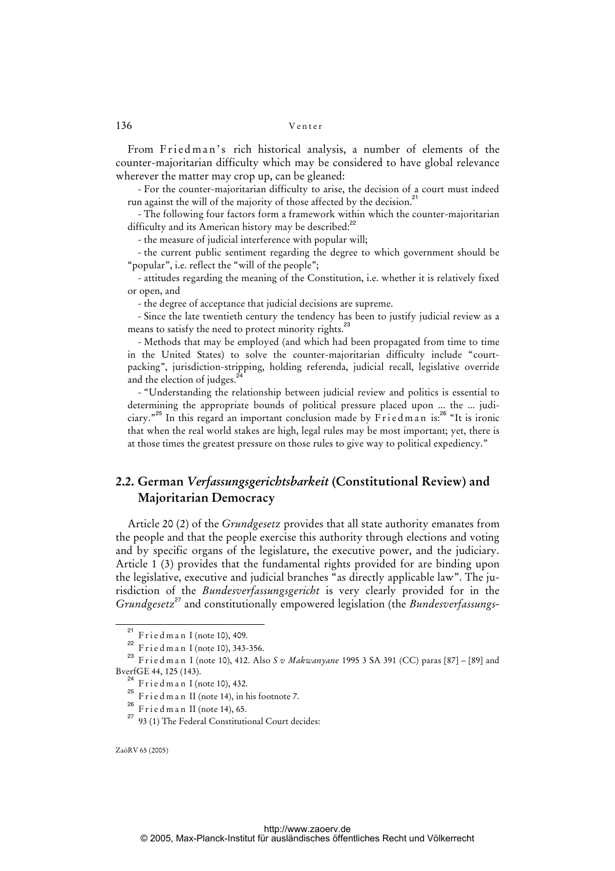From Friedman's rich historical analysis, a number of elements of the counter-majoritarian difficulty which may be considered to have global relevance wherever the matter may crop up, can be gleaned:

- For the counter-majoritarian difficulty to arise, the decision of a court must indeed run against the will of the majority of those affected by the decision.<sup>21</sup>

- The following four factors form a framework within which the counter-majoritarian difficulty and its American history may be described:<sup>22</sup>

- the measure of judicial interference with popular will;

- the current public sentiment regarding the degree to which government should be "popular", i.e. reflect the "will of the people";

- attitudes regarding the meaning of the Constitution, i.e. whether it is relatively fixed or open, and

- the degree of acceptance that judicial decisions are supreme.

- Since the late twentieth century the tendency has been to justify judicial review as a means to satisfy the need to protect minority rights.<sup>23</sup>

- Methods that may be employed (and which had been propagated from time to time in the United States) to solve the counter-majoritarian difficulty include "courtpacking", jurisdiction-stripping, holding referenda, judicial recall, legislative override and the election of judges.

- "Understanding the relationship between judicial review and politics is essential to determining the appropriate bounds of political pressure placed upon ... the ... judiciary."<sup>25</sup> In this regard an important conclusion made by Fried m an is:<sup>26</sup> "It is ironic that when the real world stakes are high, legal rules may be most important; yet, there is at those times the greatest pressure on those rules to give way to political expediency."

## **2.2. German** *Verfassungsgerichtsbarkeit* **(Constitutional Review) and Majoritarian Democracy**

Article 20 (2) of the *Grundgesetz* provides that all state authority emanates from the people and that the people exercise this authority through elections and voting and by specific organs of the legislature, the executive power, and the judiciary. Article 1 (3) provides that the fundamental rights provided for are binding upon the legislative, executive and judicial branches "as directly applicable law". The jurisdiction of the *Bundesverfassungsgericht* is very clearly provided for in the *Grundgesetz*<sup>27</sup> and constitutionally empowered legislation (the *Bundesverfassungs-*

 $\overline{a_1}$  F r i e d m a n I (note 10), 409.

 $22$  F r i e d m a n I (note 10), 343-356.

<sup>23</sup> F r i e d m a n I (note 10), 412. Also *S v Makwanyane* 1995 3 SA 391 (CC) paras [87] – [89] and BverfGE 44, 125 (143).

 $^{24}$  F r i e d m a n I (note 10), 432.

 $25$  F r i e d m a n II (note 14), in his footnote 7.

 $26$  F r i e d m a n II (note 14), 65.

<sup>27</sup> 93 (1) The Federal Constitutional Court decides: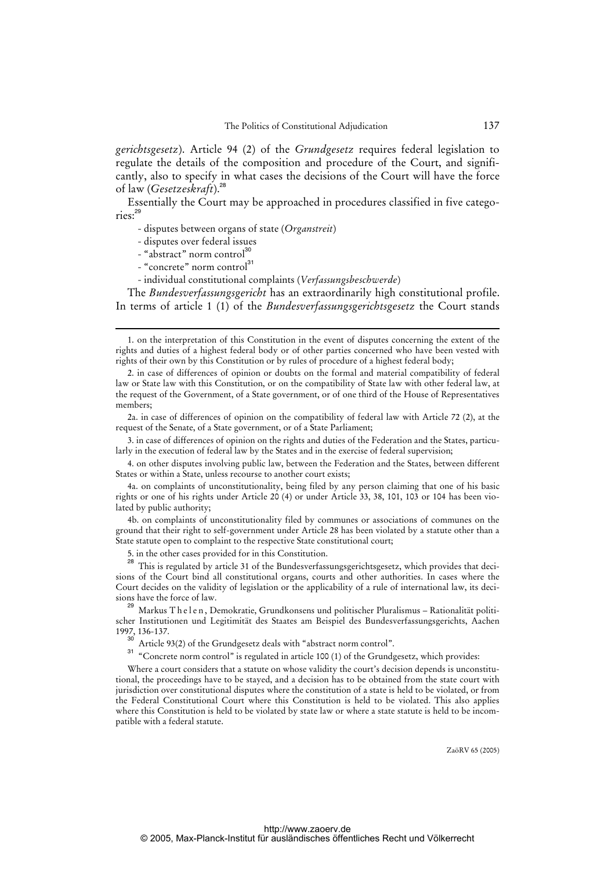*gerichtsgesetz*). Article 94 (2) of the *Grundgesetz* requires federal legislation to regulate the details of the composition and procedure of the Court, and significantly, also to specify in what cases the decisions of the Court will have the force of law (*Gesetzeskraft*).<sup>28</sup>

Essentially the Court may be approached in procedures classified in five catego $ries:$ <sup>29</sup>

- disputes between organs of state (*Organstreit*)

- disputes over federal issues

- "abstract" norm control<sup>30</sup>

- "concrete" norm control<sup>31</sup>

l

- individual constitutional complaints (*Verfassungsbeschwerde*)

The *Bundesverfassungsgericht* has an extraordinarily high constitutional profile. In terms of article 1 (1) of the *Bundesverfassungsgerichtsgesetz* the Court stands

1. on the interpretation of this Constitution in the event of disputes concerning the extent of the rights and duties of a highest federal body or of other parties concerned who have been vested with rights of their own by this Constitution or by rules of procedure of a highest federal body;

2. in case of differences of opinion or doubts on the formal and material compatibility of federal law or State law with this Constitution, or on the compatibility of State law with other federal law, at the request of the Government, of a State government, or of one third of the House of Representatives members;

2a. in case of differences of opinion on the compatibility of federal law with Article 72 (2), at the request of the Senate, of a State government, or of a State Parliament;

3. in case of differences of opinion on the rights and duties of the Federation and the States, particularly in the execution of federal law by the States and in the exercise of federal supervision;

4. on other disputes involving public law, between the Federation and the States, between different States or within a State, unless recourse to another court exists;

4a. on complaints of unconstitutionality, being filed by any person claiming that one of his basic rights or one of his rights under Article 20 (4) or under Article 33, 38, 101, 103 or 104 has been violated by public authority;

4b. on complaints of unconstitutionality filed by communes or associations of communes on the ground that their right to self-government under Article 28 has been violated by a statute other than a State statute open to complaint to the respective State constitutional court;

5. in the other cases provided for in this Constitution.

This is regulated by article 31 of the Bundesverfassungsgerichtsgesetz, which provides that decisions of the Court bind all constitutional organs, courts and other authorities. In cases where the Court decides on the validity of legislation or the applicability of a rule of international law, its decisions have the force of law.

<sup>29</sup> Markus T h e l e n , Demokratie, Grundkonsens und politischer Pluralismus – Rationalität politischer Institutionen und Legitimität des Staates am Beispiel des Bundesverfassungsgerichts, Aachen 1997, 136-137.

Article 93(2) of the Grundgesetz deals with "abstract norm control".

<sup>31</sup> "Concrete norm control" is regulated in article 100 (1) of the Grundgesetz, which provides:

Where a court considers that a statute on whose validity the court's decision depends is unconstitutional, the proceedings have to be stayed, and a decision has to be obtained from the state court with jurisdiction over constitutional disputes where the constitution of a state is held to be violated, or from the Federal Constitutional Court where this Constitution is held to be violated. This also applies where this Constitution is held to be violated by state law or where a state statute is held to be incompatible with a federal statute.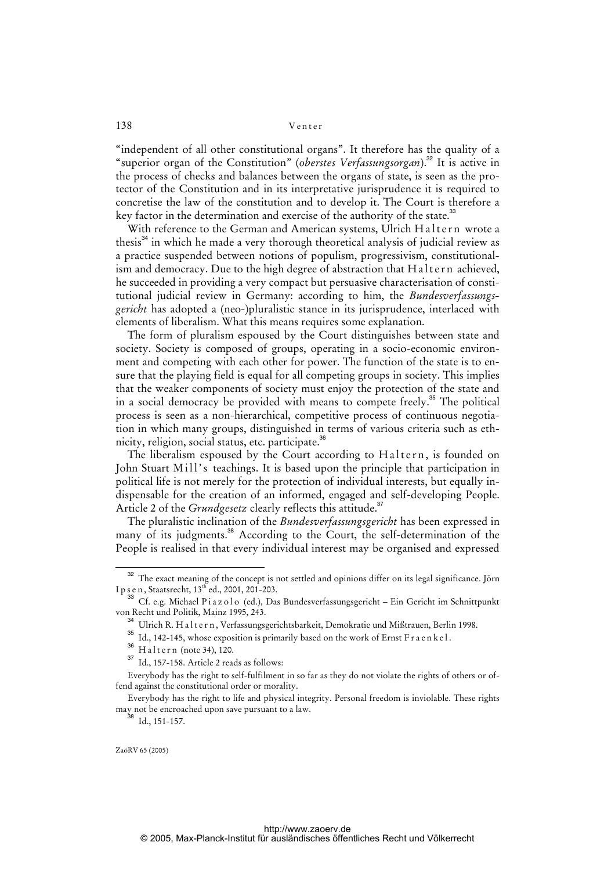"independent of all other constitutional organs". It therefore has the quality of a "superior organ of the Constitution" (*oberstes Verfassungsorgan*).<sup>32</sup> It is active in the process of checks and balances between the organs of state, is seen as the protector of the Constitution and in its interpretative jurisprudence it is required to concretise the law of the constitution and to develop it. The Court is therefore a key factor in the determination and exercise of the authority of the state.<sup>33</sup>

With reference to the German and American systems, Ulrich Haltern wrote a thesis<sup>34</sup> in which he made a very thorough theoretical analysis of judicial review as a practice suspended between notions of populism, progressivism, constitutionalism and democracy. Due to the high degree of abstraction that Haltern achieved, he succeeded in providing a very compact but persuasive characterisation of constitutional judicial review in Germany: according to him, the *Bundesverfassungsgericht* has adopted a (neo-)pluralistic stance in its jurisprudence, interlaced with elements of liberalism. What this means requires some explanation.

The form of pluralism espoused by the Court distinguishes between state and society. Society is composed of groups, operating in a socio-economic environment and competing with each other for power. The function of the state is to ensure that the playing field is equal for all competing groups in society. This implies that the weaker components of society must enjoy the protection of the state and in a social democracy be provided with means to compete freely.<sup>35</sup> The political process is seen as a non-hierarchical, competitive process of continuous negotiation in which many groups, distinguished in terms of various criteria such as ethnicity, religion, social status, etc. participate.<sup>36</sup>

The liberalism espoused by the Court according to Haltern, is founded on John Stuart Mill's teachings. It is based upon the principle that participation in political life is not merely for the protection of individual interests, but equally indispensable for the creation of an informed, engaged and self-developing People. Article 2 of the *Grundgesetz* clearly reflects this attitude.<sup>37</sup>

The pluralistic inclination of the *Bundesverfassungsgericht* has been expressed in many of its judgments.<sup>38</sup> According to the Court, the self-determination of the People is realised in that every individual interest may be organised and expressed

<sup>&</sup>lt;sup>32</sup> The exact meaning of the concept is not settled and opinions differ on its legal significance. Jörn I p s e n , Staatsrecht,  $13^{\text{th}}$  ed., 2001, 201-203.

<sup>&</sup>lt;sup>33</sup> Cf. e.g. Michael Piazolo (ed.), Das Bundesverfassungsgericht – Ein Gericht im Schnittpunkt von Recht und Politik, Mainz 1995, 243.

<sup>&</sup>lt;sup>34</sup> Ulrich R. Haltern, Verfassungsgerichtsbarkeit, Demokratie und Mißtrauen, Berlin 1998.

Id., 142-145, whose exposition is primarily based on the work of Ernst F r a e n k e l.

<sup>&</sup>lt;sup>36</sup> Haltern (note 34), 120.

<sup>37</sup> Id., 157-158. Article 2 reads as follows:

Everybody has the right to self-fulfilment in so far as they do not violate the rights of others or offend against the constitutional order or morality.

Everybody has the right to life and physical integrity. Personal freedom is inviolable. These rights may not be encroached upon save pursuant to a law.

Id., 151-157.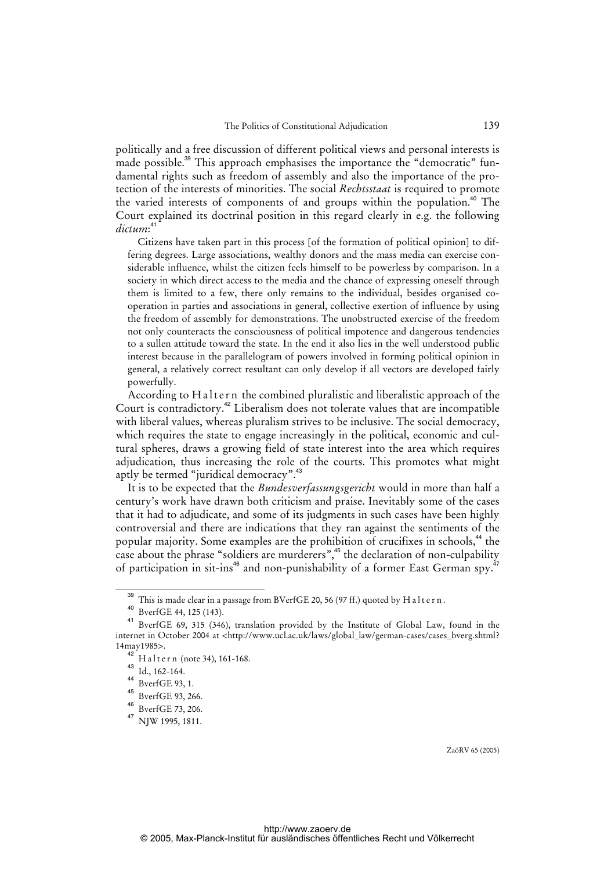politically and a free discussion of different political views and personal interests is made possible.<sup>39</sup> This approach emphasises the importance the "democratic" fundamental rights such as freedom of assembly and also the importance of the protection of the interests of minorities. The social *Rechtsstaat* is required to promote the varied interests of components of and groups within the population.<sup>40</sup> The Court explained its doctrinal position in this regard clearly in e.g. the following *dictum*: 41

Citizens have taken part in this process [of the formation of political opinion] to differing degrees. Large associations, wealthy donors and the mass media can exercise considerable influence, whilst the citizen feels himself to be powerless by comparison. In a society in which direct access to the media and the chance of expressing oneself through them is limited to a few, there only remains to the individual, besides organised cooperation in parties and associations in general, collective exertion of influence by using the freedom of assembly for demonstrations. The unobstructed exercise of the freedom not only counteracts the consciousness of political impotence and dangerous tendencies to a sullen attitude toward the state. In the end it also lies in the well understood public interest because in the parallelogram of powers involved in forming political opinion in general, a relatively correct resultant can only develop if all vectors are developed fairly powerfully.

According to Haltern the combined pluralistic and liberalistic approach of the Court is contradictory.<sup>42</sup> Liberalism does not tolerate values that are incompatible with liberal values, whereas pluralism strives to be inclusive. The social democracy, which requires the state to engage increasingly in the political, economic and cultural spheres, draws a growing field of state interest into the area which requires adjudication, thus increasing the role of the courts. This promotes what might aptly be termed "juridical democracy".<sup>43</sup>

It is to be expected that the *Bundesverfassungsgericht* would in more than half a century's work have drawn both criticism and praise. Inevitably some of the cases that it had to adjudicate, and some of its judgments in such cases have been highly controversial and there are indications that they ran against the sentiments of the popular majority. Some examples are the prohibition of crucifixes in schools,<sup>44</sup> the case about the phrase "soldiers are murderers",<sup>45</sup> the declaration of non-culpability of participation in sit-ins<sup>46</sup> and non-punishability of a former East German spy.<sup>4</sup>

<sup>&</sup>lt;sup>39</sup> This is made clear in a passage from BVerfGE 20, 56 (97 ff.) quoted by H a l t e r n .<br><sup>40</sup> P<sub>1</sub> CCE 44, 125 (142)</sub>

<sup>&</sup>lt;sup>40</sup> BverfGE 44, 125 (143).

BverfGE 69, 315 (346), translation provided by the Institute of Global Law, found in the internet in October 2004 at [<http://www.ucl.ac.uk/laws/global\\_law/german-cases/cases\\_bverg.shtml?](http://www.ucl.ac.uk/laws/global_law/german-cases/cases_bverg.shtml?) 14may1985>.

Haltern (note 34), 161-168.

 $^{43}$  Id., 162-164.

 $^{44}$  BverfGE 93, 1.

BverfGE 93, 266.

<sup>46</sup> BverfGE 73, 206.

<sup>47</sup> NJW 1995, 1811.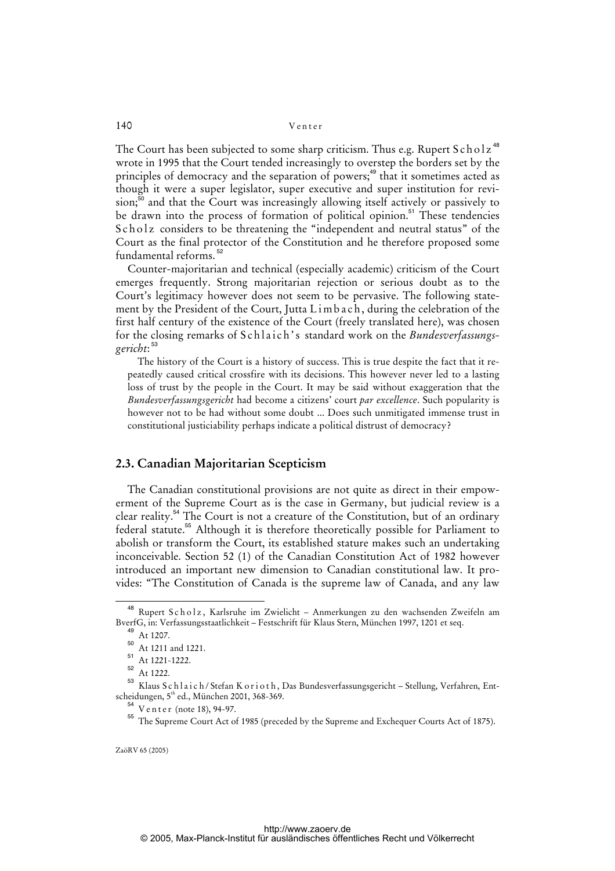The Court has been subjected to some sharp criticism. Thus e.g. Rupert  $S$ cholz<sup>48</sup> wrote in 1995 that the Court tended increasingly to overstep the borders set by the principles of democracy and the separation of powers;<sup>49</sup> that it sometimes acted as though it were a super legislator, super executive and super institution for revision;<sup>50</sup> and that the Court was increasingly allowing itself actively or passively to be drawn into the process of formation of political opinion.<sup>51</sup> These tendencies Scholz considers to be threatening the "independent and neutral status" of the Court as the final protector of the Constitution and he therefore proposed some fundamental reforms.<sup>52</sup>

Counter-majoritarian and technical (especially academic) criticism of the Court emerges frequently. Strong majoritarian rejection or serious doubt as to the Court's legitimacy however does not seem to be pervasive. The following statement by the President of the Court, Jutta Limbach, during the celebration of the first half century of the existence of the Court (freely translated here), was chosen for the closing remarks of Schlaich's standard work on the *Bundesverfassungsgericht*: 53

The history of the Court is a history of success. This is true despite the fact that it repeatedly caused critical crossfire with its decisions. This however never led to a lasting loss of trust by the people in the Court. It may be said without exaggeration that the *Bundesverfassungsgericht* had become a citizens' court *par excellence*. Such popularity is however not to be had without some doubt ... Does such unmitigated immense trust in constitutional justiciability perhaps indicate a political distrust of democracy?

## **2.3. Canadian Majoritarian Scepticism**

The Canadian constitutional provisions are not quite as direct in their empowerment of the Supreme Court as is the case in Germany, but judicial review is a clear reality.<sup>54</sup> The Court is not a creature of the Constitution, but of an ordinary federal statute.<sup>55</sup> Although it is therefore theoretically possible for Parliament to abolish or transform the Court, its established stature makes such an undertaking inconceivable. Section 52 (1) of the Canadian Constitution Act of 1982 however introduced an important new dimension to Canadian constitutional law. It provides: "The Constitution of Canada is the supreme law of Canada, and any law

Rupert Scholz, Karlsruhe im Zwielicht – Anmerkungen zu den wachsenden Zweifeln am BverfG, in: Verfassungsstaatlichkeit – Festschrift für Klaus Stern, München 1997, 1201 et seq.

<sup>49</sup> At 1207.

 $50$  At 1211 and 1221.

 $51$  At 1221-1222.

At 1222.

<sup>53</sup> Klaus S c h l a i c h / Stefan K o r i o t h , Das Bundesverfassungsgericht – Stellung, Verfahren, Entscheidungen, 5<sup>th</sup> ed., München 2001, 368-369.

<sup>&</sup>lt;sup>54</sup> V e n t e r (note 18), 94-97.

<sup>55</sup> The Supreme Court Act of 1985 (preceded by the Supreme and Exchequer Courts Act of 1875).

ZaöRV 65 (2005)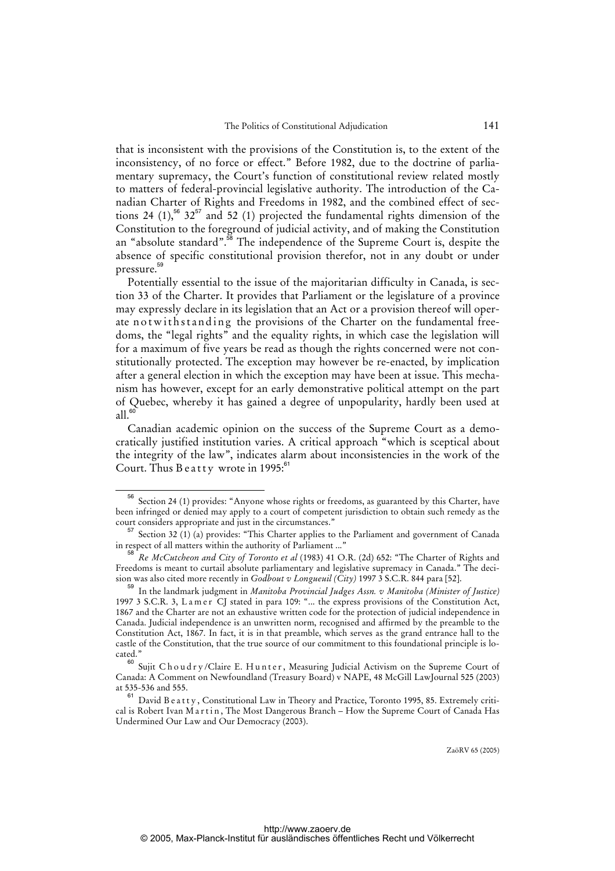that is inconsistent with the provisions of the Constitution is, to the extent of the inconsistency, of no force or effect." Before 1982, due to the doctrine of parliamentary supremacy, the Court's function of constitutional review related mostly to matters of federal-provincial legislative authority. The introduction of the Canadian Charter of Rights and Freedoms in 1982, and the combined effect of sections 24  $(1)$ ,<sup>56</sup> 32<sup>57</sup> and 52  $(1)$  projected the fundamental rights dimension of the Constitution to the foreground of judicial activity, and of making the Constitution an "absolute standard".<sup>58</sup> The independence of the Supreme Court is, despite the absence of specific constitutional provision therefor, not in any doubt or under pressure.<sup>59</sup>

Potentially essential to the issue of the majoritarian difficulty in Canada, is section 33 of the Charter. It provides that Parliament or the legislature of a province may expressly declare in its legislation that an Act or a provision thereof will operate not with standing the provisions of the Charter on the fundamental freedoms, the "legal rights" and the equality rights, in which case the legislation will for a maximum of five years be read as though the rights concerned were not constitutionally protected. The exception may however be re-enacted, by implication after a general election in which the exception may have been at issue. This mechanism has however, except for an early demonstrative political attempt on the part of Quebec, whereby it has gained a degree of unpopularity, hardly been used at all. $60$ 

Canadian academic opinion on the success of the Supreme Court as a democratically justified institution varies. A critical approach "which is sceptical about the integrity of the law", indicates alarm about inconsistencies in the work of the Court. Thus B e at ty wrote in 1995: $61$ 

<sup>56</sup> Section 24 (1) provides: "Anyone whose rights or freedoms, as guaranteed by this Charter, have been infringed or denied may apply to a court of competent jurisdiction to obtain such remedy as the court considers appropriate and just in the circumstances."

<sup>57</sup> Section 32 (1) (a) provides: "This Charter applies to the Parliament and government of Canada in respect of all matters within the authority of Parliament ..."

<sup>58</sup> *Re McCutcheon and City of Toronto et al* (1983) 41 O.R. (2d) 652: "The Charter of Rights and Freedoms is meant to curtail absolute parliamentary and legislative supremacy in Canada." The decision was also cited more recently in *Godbout v Longueuil (City)* 1997 3 S.C.R. 844 para [52].

<sup>59</sup> In the landmark judgment in *Manitoba Provincial Judges Assn. v Manitoba (Minister of Justice)* 1997 3 S.C.R. 3, Lamer CJ stated in para 109: "... the express provisions of the Constitution Act, 1867 and the Charter are not an exhaustive written code for the protection of judicial independence in Canada. Judicial independence is an unwritten norm, recognised and affirmed by the preamble to the Constitution Act, 1867. In fact, it is in that preamble, which serves as the grand entrance hall to the castle of the Constitution, that the true source of our commitment to this foundational principle is located."

<sup>&</sup>lt;sup>60</sup> Sujit Choudry/Claire E. Hunter, Measuring Judicial Activism on the Supreme Court of Canada: A Comment on Newfoundland (Treasury Board) v NAPE, 48 McGill LawJournal 525 (2003) at 535-536 and 555.

<sup>61</sup> David B e a t t y , Constitutional Law in Theory and Practice, Toronto 1995, 85. Extremely critical is Robert Ivan M a r t in, The Most Dangerous Branch – How the Supreme Court of Canada Has Undermined Our Law and Our Democracy (2003).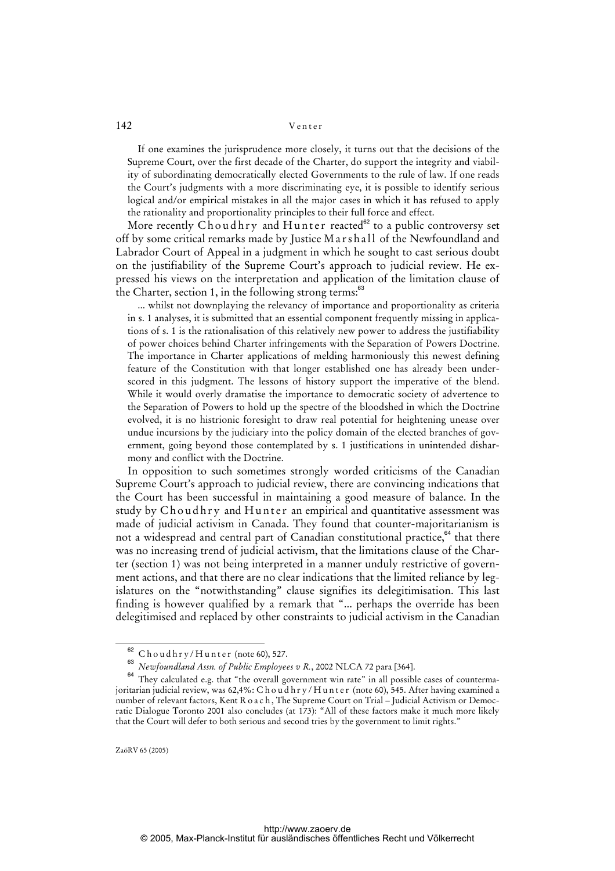If one examines the jurisprudence more closely, it turns out that the decisions of the Supreme Court, over the first decade of the Charter, do support the integrity and viability of subordinating democratically elected Governments to the rule of law. If one reads the Court's judgments with a more discriminating eye, it is possible to identify serious logical and/or empirical mistakes in all the major cases in which it has refused to apply the rationality and proportionality principles to their full force and effect.

More recently  $Choudhry$  and Hunter reacted<sup>62</sup> to a public controversy set off by some critical remarks made by Justice Marshall of the Newfoundland and Labrador Court of Appeal in a judgment in which he sought to cast serious doubt on the justifiability of the Supreme Court's approach to judicial review. He expressed his views on the interpretation and application of the limitation clause of the Charter, section 1, in the following strong terms: $63$ 

... whilst not downplaying the relevancy of importance and proportionality as criteria in s. 1 analyses, it is submitted that an essential component frequently missing in applications of s. 1 is the rationalisation of this relatively new power to address the justifiability of power choices behind Charter infringements with the Separation of Powers Doctrine. The importance in Charter applications of melding harmoniously this newest defining feature of the Constitution with that longer established one has already been underscored in this judgment. The lessons of history support the imperative of the blend. While it would overly dramatise the importance to democratic society of advertence to the Separation of Powers to hold up the spectre of the bloodshed in which the Doctrine evolved, it is no histrionic foresight to draw real potential for heightening unease over undue incursions by the judiciary into the policy domain of the elected branches of government, going beyond those contemplated by s. 1 justifications in unintended disharmony and conflict with the Doctrine.

In opposition to such sometimes strongly worded criticisms of the Canadian Supreme Court's approach to judicial review, there are convincing indications that the Court has been successful in maintaining a good measure of balance. In the study by  $Ch$  oud  $h r$  y and  $H$ unter an empirical and quantitative assessment was made of judicial activism in Canada. They found that counter-majoritarianism is not a widespread and central part of Canadian constitutional practice, $64$  that there was no increasing trend of judicial activism, that the limitations clause of the Charter (section 1) was not being interpreted in a manner unduly restrictive of government actions, and that there are no clear indications that the limited reliance by legislatures on the "notwithstanding" clause signifies its delegitimisation. This last finding is however qualified by a remark that "... perhaps the override has been delegitimised and replaced by other constraints to judicial activism in the Canadian

 $Choudhry/Hunter (note 60), 527.$ 

<sup>63</sup> *Newfoundland Assn. of Public Employees v R.*, 2002 NLCA 72 para [364].

They calculated e.g. that "the overall government win rate" in all possible cases of countermajoritarian judicial review, was 62,4%: C h o u d h r y / H u n t e r (note 60), 545. After having examined a number of relevant factors, Kent R o a c h , The Supreme Court on Trial – Judicial Activism or Democratic Dialogue Toronto 2001 also concludes (at 173): "All of these factors make it much more likely that the Court will defer to both serious and second tries by the government to limit rights."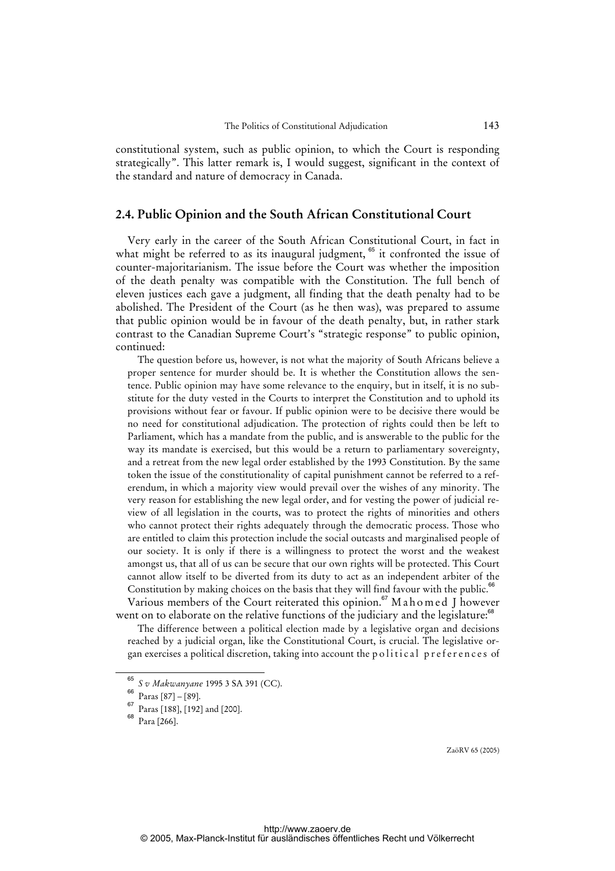constitutional system, such as public opinion, to which the Court is responding strategically". This latter remark is, I would suggest, significant in the context of the standard and nature of democracy in Canada.

## **2.4. Public Opinion and the South African Constitutional Court**

Very early in the career of the South African Constitutional Court, in fact in what might be referred to as its inaugural judgment,  $65$  it confronted the issue of counter-majoritarianism. The issue before the Court was whether the imposition of the death penalty was compatible with the Constitution. The full bench of eleven justices each gave a judgment, all finding that the death penalty had to be abolished. The President of the Court (as he then was), was prepared to assume that public opinion would be in favour of the death penalty, but, in rather stark contrast to the Canadian Supreme Court's "strategic response" to public opinion, continued:

The question before us, however, is not what the majority of South Africans believe a proper sentence for murder should be. It is whether the Constitution allows the sentence. Public opinion may have some relevance to the enquiry, but in itself, it is no substitute for the duty vested in the Courts to interpret the Constitution and to uphold its provisions without fear or favour. If public opinion were to be decisive there would be no need for constitutional adjudication. The protection of rights could then be left to Parliament, which has a mandate from the public, and is answerable to the public for the way its mandate is exercised, but this would be a return to parliamentary sovereignty, and a retreat from the new legal order established by the 1993 Constitution. By the same token the issue of the constitutionality of capital punishment cannot be referred to a referendum, in which a majority view would prevail over the wishes of any minority. The very reason for establishing the new legal order, and for vesting the power of judicial review of all legislation in the courts, was to protect the rights of minorities and others who cannot protect their rights adequately through the democratic process. Those who are entitled to claim this protection include the social outcasts and marginalised people of our society. It is only if there is a willingness to protect the worst and the weakest amongst us, that all of us can be secure that our own rights will be protected. This Court cannot allow itself to be diverted from its duty to act as an independent arbiter of the Constitution by making choices on the basis that they will find favour with the public.<sup>66</sup> Various members of the Court reiterated this opinion.<sup>67</sup> M a h o m e d I however

went on to elaborate on the relative functions of the judiciary and the legislature:<sup>68</sup>

The difference between a political election made by a legislative organ and decisions reached by a judicial organ, like the Constitutional Court, is crucial. The legislative organ exercises a political discretion, taking into account the political preferences of

<sup>65</sup> *S v Makwanyane* 1995 3 SA 391 (CC).

<sup>66</sup> Paras [87] – [89].

<sup>67</sup> Paras [188], [192] and [200].

 $^{\rm 68}$  Para [266].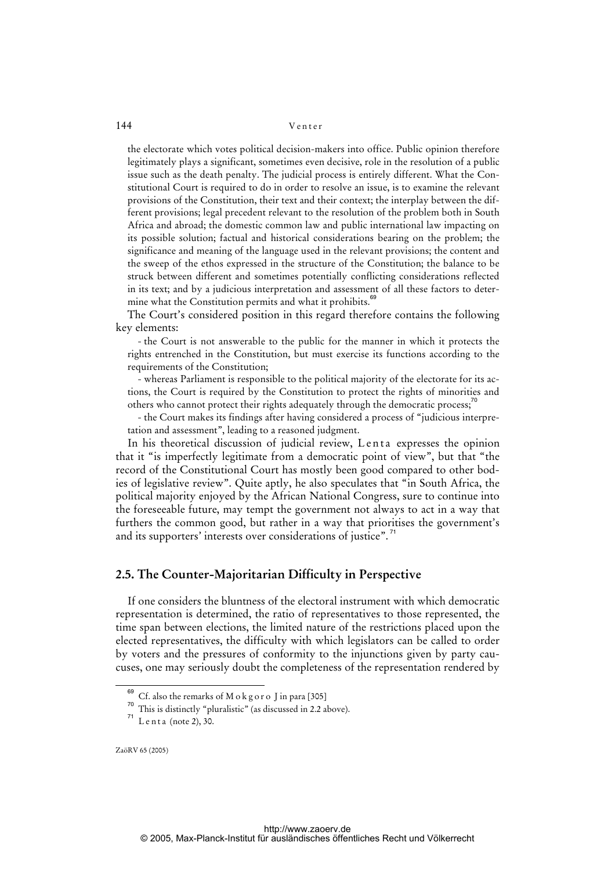the electorate which votes political decision-makers into office. Public opinion therefore legitimately plays a significant, sometimes even decisive, role in the resolution of a public issue such as the death penalty. The judicial process is entirely different. What the Constitutional Court is required to do in order to resolve an issue, is to examine the relevant provisions of the Constitution, their text and their context; the interplay between the different provisions; legal precedent relevant to the resolution of the problem both in South Africa and abroad; the domestic common law and public international law impacting on its possible solution; factual and historical considerations bearing on the problem; the significance and meaning of the language used in the relevant provisions; the content and the sweep of the ethos expressed in the structure of the Constitution; the balance to be struck between different and sometimes potentially conflicting considerations reflected in its text; and by a judicious interpretation and assessment of all these factors to determine what the Constitution permits and what it prohibits.<sup>69</sup>

The Court's considered position in this regard therefore contains the following key elements:

- the Court is not answerable to the public for the manner in which it protects the rights entrenched in the Constitution, but must exercise its functions according to the requirements of the Constitution;

- whereas Parliament is responsible to the political majority of the electorate for its actions, the Court is required by the Constitution to protect the rights of minorities and others who cannot protect their rights adequately through the democratic process; $\frac{70}{10}$ 

- the Court makes its findings after having considered a process of "judicious interpretation and assessment", leading to a reasoned judgment.

In his theoretical discussion of judicial review, Lenta expresses the opinion that it "is imperfectly legitimate from a democratic point of view", but that "the record of the Constitutional Court has mostly been good compared to other bodies of legislative review". Quite aptly, he also speculates that "in South Africa, the political majority enjoyed by the African National Congress, sure to continue into the foreseeable future, may tempt the government not always to act in a way that furthers the common good, but rather in a way that prioritises the government's and its supporters' interests over considerations of justice".<sup>71</sup>

## **2.5. The Counter-Majoritarian Difficulty in Perspective**

If one considers the bluntness of the electoral instrument with which democratic representation is determined, the ratio of representatives to those represented, the time span between elections, the limited nature of the restrictions placed upon the elected representatives, the difficulty with which legislators can be called to order by voters and the pressures of conformity to the injunctions given by party caucuses, one may seriously doubt the completeness of the representation rendered by

 $^{69}$  Cf. also the remarks of M o k g o r o J in para [305]

 $70$  This is distinctly "pluralistic" (as discussed in 2.2 above).

 $71$  L e n t a (note 2), 30.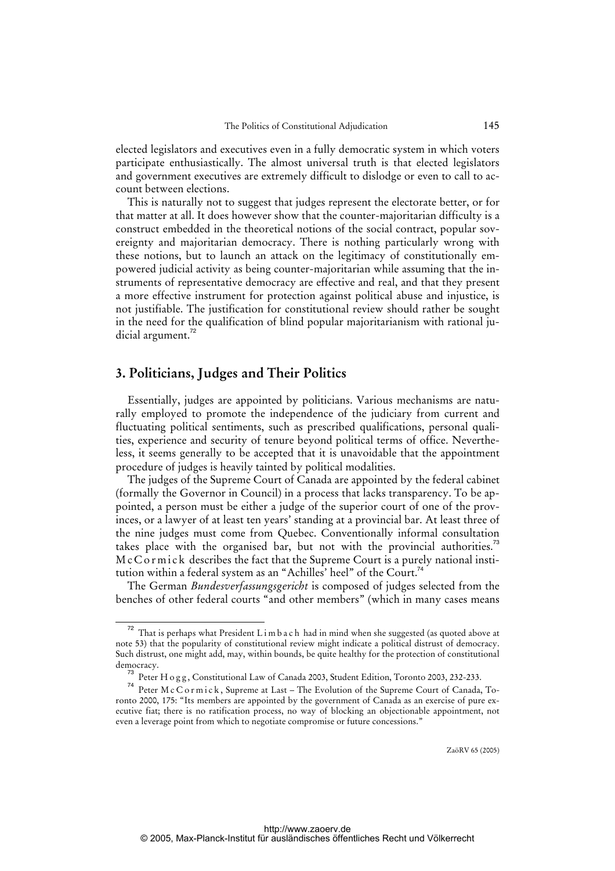elected legislators and executives even in a fully democratic system in which voters participate enthusiastically. The almost universal truth is that elected legislators and government executives are extremely difficult to dislodge or even to call to account between elections.

This is naturally not to suggest that judges represent the electorate better, or for that matter at all. It does however show that the counter-majoritarian difficulty is a construct embedded in the theoretical notions of the social contract, popular sovereignty and majoritarian democracy. There is nothing particularly wrong with these notions, but to launch an attack on the legitimacy of constitutionally empowered judicial activity as being counter-majoritarian while assuming that the instruments of representative democracy are effective and real, and that they present a more effective instrument for protection against political abuse and injustice, is not justifiable. The justification for constitutional review should rather be sought in the need for the qualification of blind popular majoritarianism with rational judicial argument.<sup>72</sup>

## **3. Politicians, Judges and Their Politics**

Essentially, judges are appointed by politicians. Various mechanisms are naturally employed to promote the independence of the judiciary from current and fluctuating political sentiments, such as prescribed qualifications, personal qualities, experience and security of tenure beyond political terms of office. Nevertheless, it seems generally to be accepted that it is unavoidable that the appointment procedure of judges is heavily tainted by political modalities.

The judges of the Supreme Court of Canada are appointed by the federal cabinet (formally the Governor in Council) in a process that lacks transparency. To be appointed, a person must be either a judge of the superior court of one of the provinces, or a lawyer of at least ten years' standing at a provincial bar. At least three of the nine judges must come from Quebec. Conventionally informal consultation takes place with the organised bar, but not with the provincial authorities.<sup>73</sup> McCormick describes the fact that the Supreme Court is a purely national institution within a federal system as an "Achilles' heel" of the Court.<sup>74</sup>

The German *Bundesverfassungsgericht* is composed of judges selected from the benches of other federal courts "and other members" (which in many cases means

That is perhaps what President L i m b a c h had in mind when she suggested (as quoted above at note 53) that the popularity of constitutional review might indicate a political distrust of democracy. Such distrust, one might add, may, within bounds, be quite healthy for the protection of constitutional democracy.

<sup>&</sup>lt;sup>73</sup> Peter H o g g, Constitutional Law of Canada 2003, Student Edition, Toronto 2003, 232-233.

<sup>74</sup> Peter M c C o r m i c k , Supreme at Last – The Evolution of the Supreme Court of Canada, Toronto 2000, 175: "Its members are appointed by the government of Canada as an exercise of pure executive fiat; there is no ratification process, no way of blocking an objectionable appointment, not even a leverage point from which to negotiate compromise or future concessions."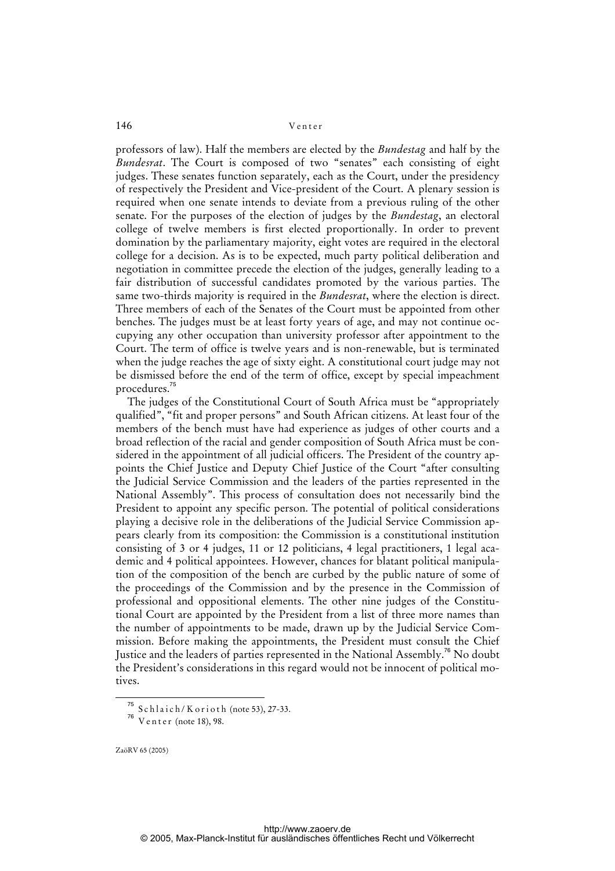professors of law). Half the members are elected by the *Bundestag* and half by the *Bundesrat*. The Court is composed of two "senates" each consisting of eight judges. These senates function separately, each as the Court, under the presidency of respectively the President and Vice-president of the Court. A plenary session is required when one senate intends to deviate from a previous ruling of the other senate. For the purposes of the election of judges by the *Bundestag*, an electoral college of twelve members is first elected proportionally. In order to prevent domination by the parliamentary majority, eight votes are required in the electoral college for a decision. As is to be expected, much party political deliberation and negotiation in committee precede the election of the judges, generally leading to a fair distribution of successful candidates promoted by the various parties. The same two-thirds majority is required in the *Bundesrat*, where the election is direct. Three members of each of the Senates of the Court must be appointed from other benches. The judges must be at least forty years of age, and may not continue occupying any other occupation than university professor after appointment to the Court. The term of office is twelve years and is non-renewable, but is terminated when the judge reaches the age of sixty eight. A constitutional court judge may not be dismissed before the end of the term of office, except by special impeachment procedures.<sup>75</sup>

The judges of the Constitutional Court of South Africa must be "appropriately qualified", "fit and proper persons" and South African citizens. At least four of the members of the bench must have had experience as judges of other courts and a broad reflection of the racial and gender composition of South Africa must be considered in the appointment of all judicial officers. The President of the country appoints the Chief Justice and Deputy Chief Justice of the Court "after consulting the Judicial Service Commission and the leaders of the parties represented in the National Assembly". This process of consultation does not necessarily bind the President to appoint any specific person. The potential of political considerations playing a decisive role in the deliberations of the Judicial Service Commission appears clearly from its composition: the Commission is a constitutional institution consisting of 3 or 4 judges, 11 or 12 politicians, 4 legal practitioners, 1 legal academic and 4 political appointees. However, chances for blatant political manipulation of the composition of the bench are curbed by the public nature of some of the proceedings of the Commission and by the presence in the Commission of professional and oppositional elements. The other nine judges of the Constitutional Court are appointed by the President from a list of three more names than the number of appointments to be made, drawn up by the Judicial Service Commission. Before making the appointments, the President must consult the Chief Justice and the leaders of parties represented in the National Assembly.<sup>76</sup> No doubt the President's considerations in this regard would not be innocent of political motives.

 $75$  Schlaich/Korioth (note 53), 27-33.

 $76$  V e n t e r (note 18), 98.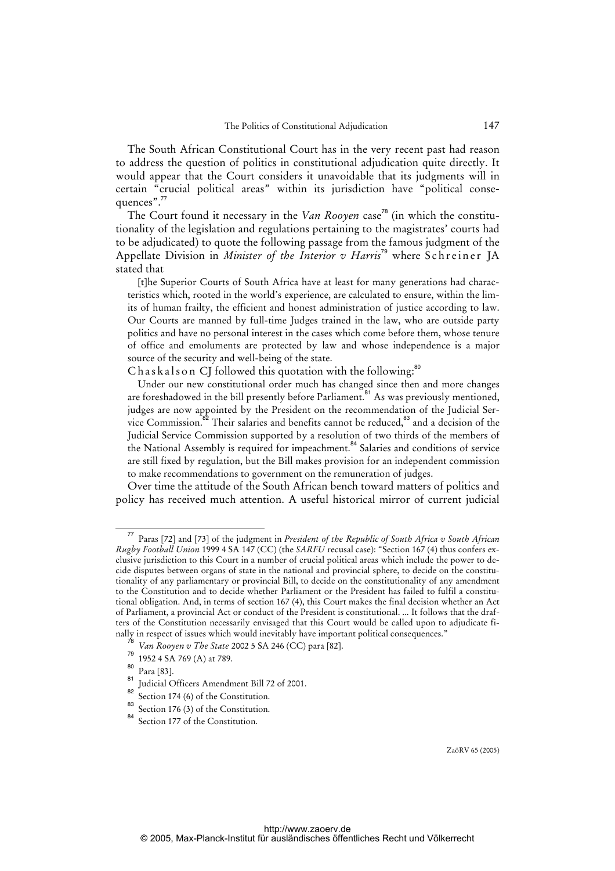The South African Constitutional Court has in the very recent past had reason to address the question of politics in constitutional adjudication quite directly. It would appear that the Court considers it unavoidable that its judgments will in certain "crucial political areas" within its jurisdiction have "political consequences".<sup>77</sup>

The Court found it necessary in the *Van Rooyen* case<sup>78</sup> (in which the constitutionality of the legislation and regulations pertaining to the magistrates' courts had to be adjudicated) to quote the following passage from the famous judgment of the Appellate Division in *Minister of the Interior v Harris*<sup>79</sup> where Schreiner JA stated that

[t]he Superior Courts of South Africa have at least for many generations had characteristics which, rooted in the world's experience, are calculated to ensure, within the limits of human frailty, the efficient and honest administration of justice according to law. Our Courts are manned by full-time Judges trained in the law, who are outside party politics and have no personal interest in the cases which come before them, whose tenure of office and emoluments are protected by law and whose independence is a major source of the security and well-being of the state.

Chaskalson CJ followed this quotation with the following:<sup>80</sup>

Under our new constitutional order much has changed since then and more changes are foreshadowed in the bill presently before Parliament.<sup>81</sup> As was previously mentioned, judges are now appointed by the President on the recommendation of the Judicial Service Commission.<sup>82</sup> Their salaries and benefits cannot be reduced,<sup>83</sup> and a decision of the Judicial Service Commission supported by a resolution of two thirds of the members of the National Assembly is required for impeachment.<sup>84</sup> Salaries and conditions of service are still fixed by regulation, but the Bill makes provision for an independent commission to make recommendations to government on the remuneration of judges.

Over time the attitude of the South African bench toward matters of politics and policy has received much attention. A useful historical mirror of current judicial

<sup>77</sup> Paras [72] and [73] of the judgment in *President of the Republic of South Africa v South African Rugby Football Union* 1999 4 SA 147 (CC) (the *SARFU* recusal case): "Section 167 (4) thus confers exclusive jurisdiction to this Court in a number of crucial political areas which include the power to decide disputes between organs of state in the national and provincial sphere, to decide on the constitutionality of any parliamentary or provincial Bill, to decide on the constitutionality of any amendment to the Constitution and to decide whether Parliament or the President has failed to fulfil a constitutional obligation. And, in terms of section 167 (4), this Court makes the final decision whether an Act of Parliament, a provincial Act or conduct of the President is constitutional. ... It follows that the drafters of the Constitution necessarily envisaged that this Court would be called upon to adjudicate finally in respect of issues which would inevitably have important political consequences."<br> $\frac{78}{18}$  M  $\frac{1}{18}$  P  $\frac{77}{18}$  G  $\frac{1}{18}$  2000 5 5 A 244 (CC)

*Van Rooyen v The State* 2002 5 SA 246 (CC) para [82].

<sup>1952 4</sup> SA 769 (A) at 789.

 $\frac{80}{81}$  Para [83].

<sup>&</sup>lt;sup>81</sup> Judicial Officers Amendment Bill 72 of 2001.

Section 174 (6) of the Constitution.

 $\frac{83}{84}$  Section 176 (3) of the Constitution.

Section 177 of the Constitution.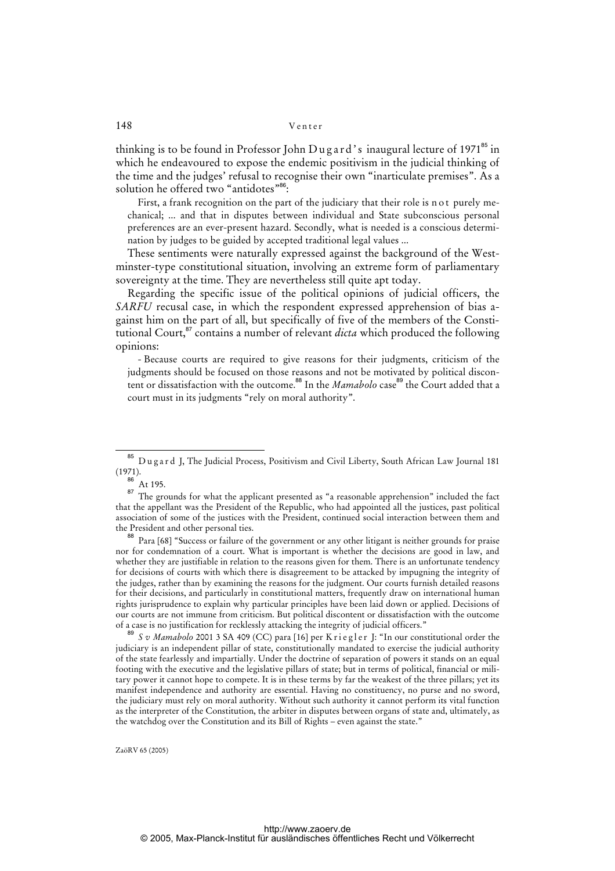thinking is to be found in Professor John Dugard's inaugural lecture of  $1971^{85}$  in which he endeavoured to expose the endemic positivism in the judicial thinking of the time and the judges' refusal to recognise their own "inarticulate premises". As a solution he offered two "antidotes"<sup>86</sup>:

First, a frank recognition on the part of the judiciary that their role is not purely mechanical; ... and that in disputes between individual and State subconscious personal preferences are an ever-present hazard. Secondly, what is needed is a conscious determination by judges to be guided by accepted traditional legal values ...

These sentiments were naturally expressed against the background of the Westminster-type constitutional situation, involving an extreme form of parliamentary sovereignty at the time. They are nevertheless still quite apt today.

Regarding the specific issue of the political opinions of judicial officers, the *SARFU* recusal case, in which the respondent expressed apprehension of bias against him on the part of all, but specifically of five of the members of the Constitutional Court,<sup>87</sup> contains a number of relevant *dicta* which produced the following opinions:

- Because courts are required to give reasons for their judgments, criticism of the judgments should be focused on those reasons and not be motivated by political discontent or dissatisfaction with the outcome.<sup>88</sup> In the *Mamabolo* case<sup>89</sup> the Court added that a court must in its judgments "rely on moral authority".

<sup>85</sup> D u g a r d J, The Judicial Process, Positivism and Civil Liberty, South African Law Journal 181 (1971).

 $86$  At 195.

<sup>&</sup>lt;sup>87</sup> The grounds for what the applicant presented as "a reasonable apprehension" included the fact that the appellant was the President of the Republic, who had appointed all the justices, past political association of some of the justices with the President, continued social interaction between them and the President and other personal ties.

<sup>88</sup> Para [68] "Success or failure of the government or any other litigant is neither grounds for praise nor for condemnation of a court. What is important is whether the decisions are good in law, and whether they are justifiable in relation to the reasons given for them. There is an unfortunate tendency for decisions of courts with which there is disagreement to be attacked by impugning the integrity of the judges, rather than by examining the reasons for the judgment. Our courts furnish detailed reasons for their decisions, and particularly in constitutional matters, frequently draw on international human rights jurisprudence to explain why particular principles have been laid down or applied. Decisions of our courts are not immune from criticism. But political discontent or dissatisfaction with the outcome of a case is no justification for recklessly attacking the integrity of judicial officers."<br><sup>89</sup> S<sub>o</sub> M<sub>u</sub> *M*<sub>u</sub> 2004 3 SA 499 (CC) [34]  $\frac{1}{2}$  M<sub>u</sub> I M<sup>s</sup><sub>I</sub>

*S v Mamabolo* 2001 3 SA 409 (CC) para [16] per K riegler J: "In our constitutional order the judiciary is an independent pillar of state, constitutionally mandated to exercise the judicial authority of the state fearlessly and impartially. Under the doctrine of separation of powers it stands on an equal footing with the executive and the legislative pillars of state; but in terms of political, financial or military power it cannot hope to compete. It is in these terms by far the weakest of the three pillars; yet its manifest independence and authority are essential. Having no constituency, no purse and no sword, the judiciary must rely on moral authority. Without such authority it cannot perform its vital function as the interpreter of the Constitution, the arbiter in disputes between organs of state and, ultimately, as the watchdog over the Constitution and its Bill of Rights – even against the state."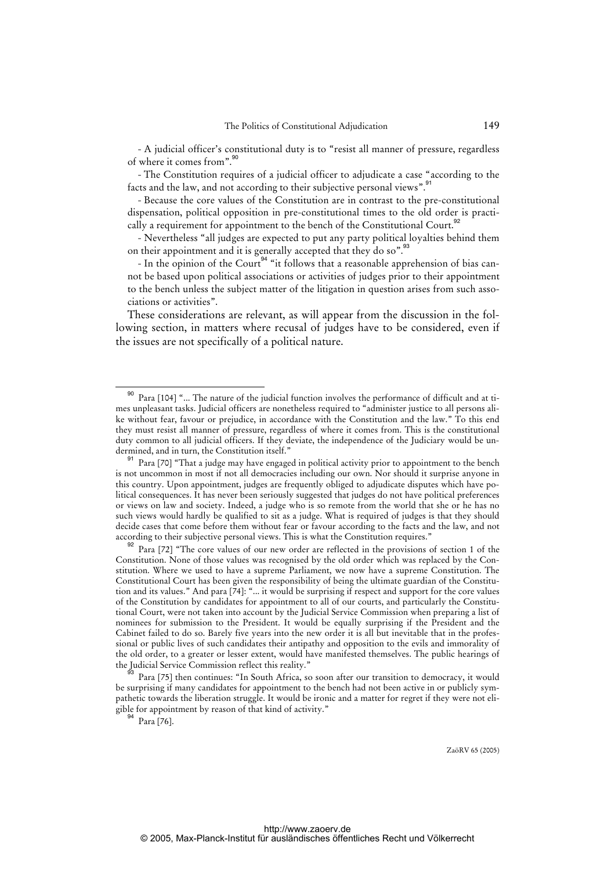- A judicial officer's constitutional duty is to "resist all manner of pressure, regardless of where it comes from".

- The Constitution requires of a judicial officer to adjudicate a case "according to the facts and the law, and not according to their subjective personal views".

- Because the core values of the Constitution are in contrast to the pre-constitutional dispensation, political opposition in pre-constitutional times to the old order is practically a requirement for appointment to the bench of the Constitutional Court.<sup>92</sup>

- Nevertheless "all judges are expected to put any party political loyalties behind them on their appointment and it is generally accepted that they do so".<sup>93</sup>

- In the opinion of the Court<sup>94</sup> "it follows that a reasonable apprehension of bias cannot be based upon political associations or activities of judges prior to their appointment to the bench unless the subject matter of the litigation in question arises from such associations or activities".

These considerations are relevant, as will appear from the discussion in the following section, in matters where recusal of judges have to be considered, even if the issues are not specifically of a political nature.

<sup>94</sup> Para [76].

Para [104] "... The nature of the judicial function involves the performance of difficult and at times unpleasant tasks. Judicial officers are nonetheless required to "administer justice to all persons alike without fear, favour or prejudice, in accordance with the Constitution and the law." To this end they must resist all manner of pressure, regardless of where it comes from. This is the constitutional duty common to all judicial officers. If they deviate, the independence of the Judiciary would be undermined, and in turn, the Constitution itself."

<sup>&</sup>lt;sup>91</sup> Para [70] "That a judge may have engaged in political activity prior to appointment to the bench is not uncommon in most if not all democracies including our own. Nor should it surprise anyone in this country. Upon appointment, judges are frequently obliged to adjudicate disputes which have political consequences. It has never been seriously suggested that judges do not have political preferences or views on law and society. Indeed, a judge who is so remote from the world that she or he has no such views would hardly be qualified to sit as a judge. What is required of judges is that they should decide cases that come before them without fear or favour according to the facts and the law, and not according to their subjective personal views. This is what the Constitution requires."

<sup>&</sup>lt;sup>92</sup> Para [72] "The core values of our new order are reflected in the provisions of section 1 of the Constitution. None of those values was recognised by the old order which was replaced by the Constitution. Where we used to have a supreme Parliament, we now have a supreme Constitution. The Constitutional Court has been given the responsibility of being the ultimate guardian of the Constitution and its values." And para [74]: "... it would be surprising if respect and support for the core values of the Constitution by candidates for appointment to all of our courts, and particularly the Constitutional Court, were not taken into account by the Judicial Service Commission when preparing a list of nominees for submission to the President. It would be equally surprising if the President and the Cabinet failed to do so. Barely five years into the new order it is all but inevitable that in the professional or public lives of such candidates their antipathy and opposition to the evils and immorality of the old order, to a greater or lesser extent, would have manifested themselves. The public hearings of the Judicial Service Commission reflect this reality."

Para [75] then continues: "In South Africa, so soon after our transition to democracy, it would be surprising if many candidates for appointment to the bench had not been active in or publicly sympathetic towards the liberation struggle. It would be ironic and a matter for regret if they were not eligible for appointment by reason of that kind of activity."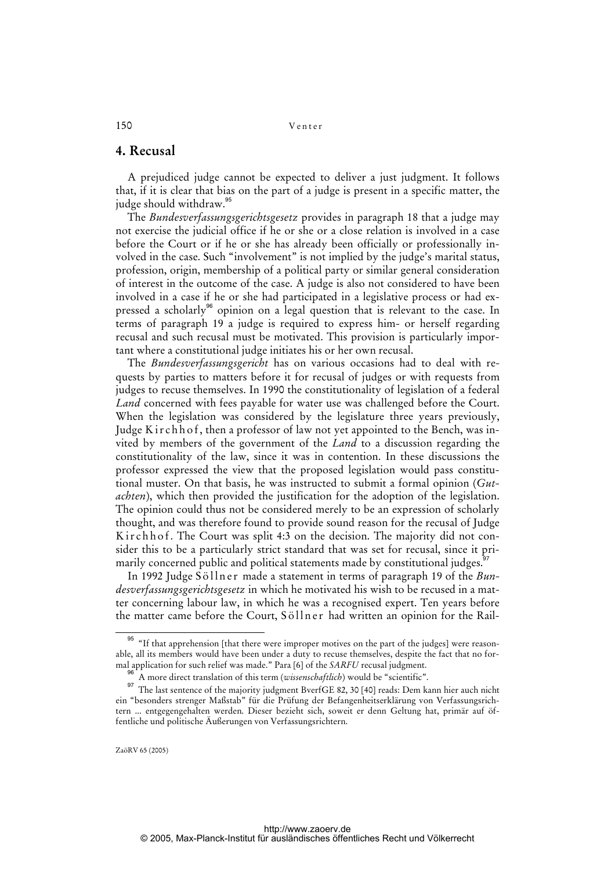## **4. Recusal**

A prejudiced judge cannot be expected to deliver a just judgment. It follows that, if it is clear that bias on the part of a judge is present in a specific matter, the judge should withdraw.<sup>95</sup>

The *Bundesverfassungsgerichtsgesetz* provides in paragraph 18 that a judge may not exercise the judicial office if he or she or a close relation is involved in a case before the Court or if he or she has already been officially or professionally involved in the case. Such "involvement" is not implied by the judge's marital status, profession, origin, membership of a political party or similar general consideration of interest in the outcome of the case. A judge is also not considered to have been involved in a case if he or she had participated in a legislative process or had expressed a scholarly<sup>96</sup> opinion on a legal question that is relevant to the case. In terms of paragraph 19 a judge is required to express him- or herself regarding recusal and such recusal must be motivated. This provision is particularly important where a constitutional judge initiates his or her own recusal.

The *Bundesverfassungsgericht* has on various occasions had to deal with requests by parties to matters before it for recusal of judges or with requests from judges to recuse themselves. In 1990 the constitutionality of legislation of a federal *Land* concerned with fees payable for water use was challenged before the Court. When the legislation was considered by the legislature three years previously, Judge K i r c h h o f, then a professor of law not yet appointed to the Bench, was invited by members of the government of the *Land* to a discussion regarding the constitutionality of the law, since it was in contention. In these discussions the professor expressed the view that the proposed legislation would pass constitutional muster. On that basis, he was instructed to submit a formal opinion (*Gutachten*), which then provided the justification for the adoption of the legislation. The opinion could thus not be considered merely to be an expression of scholarly thought, and was therefore found to provide sound reason for the recusal of Judge Kirchhof. The Court was split 4:3 on the decision. The majority did not consider this to be a particularly strict standard that was set for recusal, since it primarily concerned public and political statements made by constitutional judges.<sup>97</sup>

In 1992 Judge Söllner made a statement in terms of paragraph 19 of the *Bundesverfassungsgerichtsgesetz* in which he motivated his wish to be recused in a matter concerning labour law, in which he was a recognised expert. Ten years before the matter came before the Court, Söllner had written an opinion for the Rail-

<sup>&</sup>lt;sup>95</sup> "If that apprehension [that there were improper motives on the part of the judges] were reasonable, all its members would have been under a duty to recuse themselves, despite the fact that no formal application for such relief was made." Para [6] of the *SARFU* recusal judgment.

<sup>96</sup> A more direct translation of this term (*wissenschaftlich*) would be "scientific".

<sup>&</sup>lt;sup>97</sup> The last sentence of the majority judgment BverfGE 82, 30 [40] reads: Dem kann hier auch nicht ein "besonders strenger Maßstab" für die Prüfung der Befangenheitserklärung von Verfassungsrichtern ... entgegengehalten werden. Dieser bezieht sich, soweit er denn Geltung hat, primär auf öffentliche und politische Äußerungen von Verfassungsrichtern.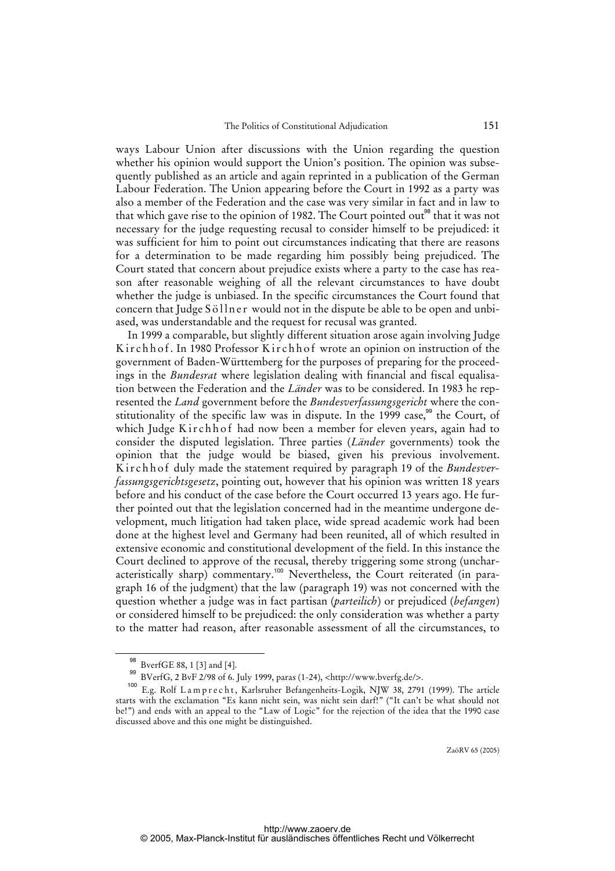ways Labour Union after discussions with the Union regarding the question whether his opinion would support the Union's position. The opinion was subsequently published as an article and again reprinted in a publication of the German Labour Federation. The Union appearing before the Court in 1992 as a party was also a member of the Federation and the case was very similar in fact and in law to that which gave rise to the opinion of 1982. The Court pointed out<sup>98</sup> that it was not necessary for the judge requesting recusal to consider himself to be prejudiced: it was sufficient for him to point out circumstances indicating that there are reasons for a determination to be made regarding him possibly being prejudiced. The Court stated that concern about prejudice exists where a party to the case has reason after reasonable weighing of all the relevant circumstances to have doubt whether the judge is unbiased. In the specific circumstances the Court found that concern that Judge Söllner would not in the dispute be able to be open and unbiased, was understandable and the request for recusal was granted.

In 1999 a comparable, but slightly different situation arose again involving Judge Kirchhof. In 1980 Professor Kirchhof wrote an opinion on instruction of the government of Baden-Württemberg for the purposes of preparing for the proceedings in the *Bundesrat* where legislation dealing with financial and fiscal equalisation between the Federation and the *Länder* was to be considered. In 1983 he represented the *Land* government before the *Bundesverfassungsgericht* where the constitutionality of the specific law was in dispute. In the 1999 case,  $\frac{99}{10}$  the Court, of which Judge Kirchhof had now been a member for eleven years, again had to consider the disputed legislation. Three parties (*Länder* governments) took the opinion that the judge would be biased, given his previous involvement. Kirchhof duly made the statement required by paragraph 19 of the *Bundesverfassungsgerichtsgesetz*, pointing out, however that his opinion was written 18 years before and his conduct of the case before the Court occurred 13 years ago. He further pointed out that the legislation concerned had in the meantime undergone development, much litigation had taken place, wide spread academic work had been done at the highest level and Germany had been reunited, all of which resulted in extensive economic and constitutional development of the field. In this instance the Court declined to approve of the recusal, thereby triggering some strong (uncharacteristically sharp) commentary.<sup>100</sup> Nevertheless, the Court reiterated (in paragraph 16 of the judgment) that the law (paragraph 19) was not concerned with the question whether a judge was in fact partisan (*parteilich*) or prejudiced (*befangen*) or considered himself to be prejudiced: the only consideration was whether a party to the matter had reason, after reasonable assessment of all the circumstances, to

BverfGE 88, 1 [3] and [4].

<sup>&</sup>lt;sup>99</sup> BVerfG, 2 BvF 2/98 of 6. July 1999, paras (1-24), <<http://www.bverfg.de/>>.<br><sup>100</sup> E  $\approx$  Pelf Lampracht, Karlsruher Befongenheits Lovik, NIW 38, 2791

<sup>100</sup> E.g. Rolf L a m p r e c h t , Karlsruher Befangenheits-Logik, NJW 38, 2791 (1999). The article starts with the exclamation "Es kann nicht sein, was nicht sein darf!" ("It can't be what should not be!") and ends with an appeal to the "Law of Logic" for the rejection of the idea that the 1990 case discussed above and this one might be distinguished.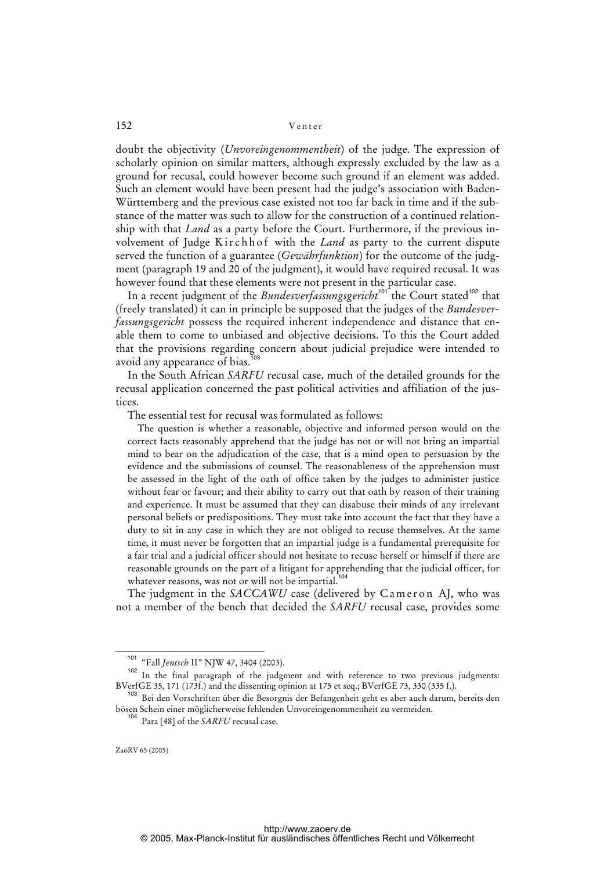doubt the objectivity (*Unvoreingenommentheit*) of the judge. The expression of scholarly opinion on similar matters, although expressly excluded by the law as a ground for recusal, could however become such ground if an element was added. Such an element would have been present had the judge's association with Baden-Württemberg and the previous case existed not too far back in time and if the substance of the matter was such to allow for the construction of a continued relationship with that *Land* as a party before the Court. Furthermore, if the previous involvement of Judge Kirchhof with the *Land* as party to the current dispute served the function of a guarantee (*Gewährfunktion*) for the outcome of the judgment (paragraph 19 and 20 of the judgment), it would have required recusal. It was however found that these elements were not present in the particular case.

In a recent judgment of the *Bundesverfassungsgericht*<sup>101</sup> the Court stated<sup>102</sup> that (freely translated) it can in principle be supposed that the judges of the *Bundesverfassungsgericht* possess the required inherent independence and distance that enable them to come to unbiased and objective decisions. To this the Court added that the provisions regarding concern about judicial prejudice were intended to avoid any appearance of bias.<sup>1</sup>

In the South African *SARFU* recusal case, much of the detailed grounds for the recusal application concerned the past political activities and affiliation of the justices.

The essential test for recusal was formulated as follows:

The question is whether a reasonable, objective and informed person would on the correct facts reasonably apprehend that the judge has not or will not bring an impartial mind to bear on the adjudication of the case, that is a mind open to persuasion by the evidence and the submissions of counsel. The reasonableness of the apprehension must be assessed in the light of the oath of office taken by the judges to administer justice without fear or favour; and their ability to carry out that oath by reason of their training and experience. It must be assumed that they can disabuse their minds of any irrelevant personal beliefs or predispositions. They must take into account the fact that they have a duty to sit in any case in which they are not obliged to recuse themselves. At the same time, it must never be forgotten that an impartial judge is a fundamental prerequisite for a fair trial and a judicial officer should not hesitate to recuse herself or himself if there are reasonable grounds on the part of a litigant for apprehending that the judicial officer, for whatever reasons, was not or will not be impartial.<sup>1</sup>

The judgment in the *SACCAWU* case (delivered by Cameron AJ, who was not a member of the bench that decided the *SARFU* recusal case, provides some

<sup>101</sup> "Fall *Jentsch* II" NJW 47, 3404 (2003).

<sup>102</sup> In the final paragraph of the judgment and with reference to two previous judgments: BVerfGE 35, 171 (173f.) and the dissenting opinion at 175 et seq.; BVerfGE 73, 330 (335 f.).

<sup>103</sup> Bei den Vorschriften über die Besorgnis der Befangenheit geht es aber auch darum, bereits den bösen Schein einer möglicherweise fehlenden Unvoreingenommenheit zu vermeiden.

<sup>104</sup> Para [48] of the *SARFU* recusal case.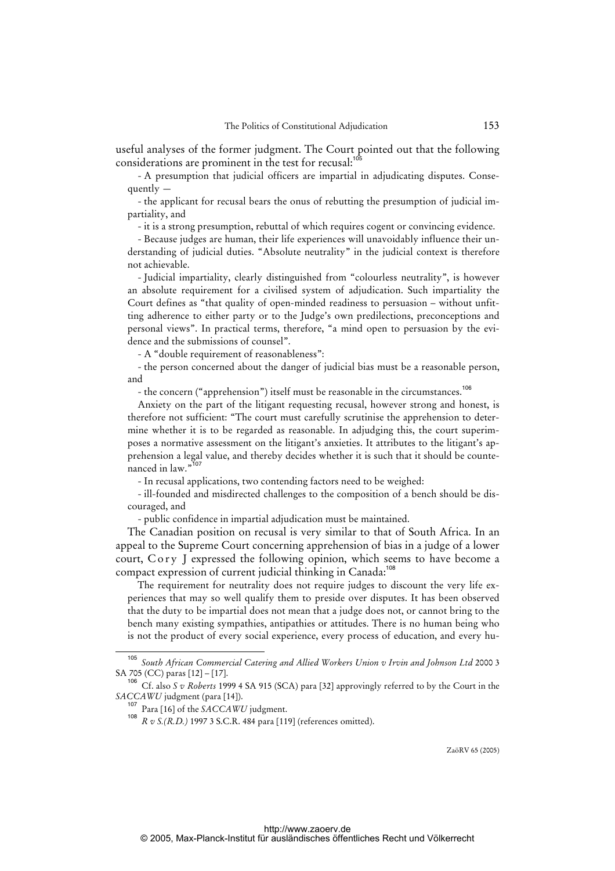useful analyses of the former judgment. The Court pointed out that the following considerations are prominent in the test for recusal:<sup>11</sup>

- A presumption that judicial officers are impartial in adjudicating disputes. Consequently —

- the applicant for recusal bears the onus of rebutting the presumption of judicial impartiality, and

- it is a strong presumption, rebuttal of which requires cogent or convincing evidence.

- Because judges are human, their life experiences will unavoidably influence their understanding of judicial duties. "Absolute neutrality" in the judicial context is therefore not achievable.

- Judicial impartiality, clearly distinguished from "colourless neutrality", is however an absolute requirement for a civilised system of adjudication. Such impartiality the Court defines as "that quality of open-minded readiness to persuasion – without unfitting adherence to either party or to the Judge's own predilections, preconceptions and personal views". In practical terms, therefore, "a mind open to persuasion by the evidence and the submissions of counsel".

- A "double requirement of reasonableness":

- the person concerned about the danger of judicial bias must be a reasonable person, and

- the concern ("apprehension") itself must be reasonable in the circumstances.<sup>106</sup>

Anxiety on the part of the litigant requesting recusal, however strong and honest, is therefore not sufficient: "The court must carefully scrutinise the apprehension to determine whether it is to be regarded as reasonable. In adjudging this, the court superimposes a normative assessment on the litigant's anxieties. It attributes to the litigant's apprehension a legal value, and thereby decides whether it is such that it should be countenanced in law."<sup>107</sup>

- In recusal applications, two contending factors need to be weighed:

- ill-founded and misdirected challenges to the composition of a bench should be discouraged, and

- public confidence in impartial adjudication must be maintained.

The Canadian position on recusal is very similar to that of South Africa. In an appeal to the Supreme Court concerning apprehension of bias in a judge of a lower court, C o r y J expressed the following opinion, which seems to have become a compact expression of current judicial thinking in Canada:<sup>108</sup>

The requirement for neutrality does not require judges to discount the very life experiences that may so well qualify them to preside over disputes. It has been observed that the duty to be impartial does not mean that a judge does not, or cannot bring to the bench many existing sympathies, antipathies or attitudes. There is no human being who is not the product of every social experience, every process of education, and every hu-

<sup>105</sup> *South African Commercial Catering and Allied Workers Union v Irvin and Johnson Ltd* 2000 3 SA 705 (CC) paras [12] – [17].

<sup>106</sup> Cf. also *S v Roberts* 1999 4 SA 915 (SCA) para [32] approvingly referred to by the Court in the *SACCAWU* judgment (para [14]).

<sup>107</sup> Para [16] of the *SACCAWU* judgment.

<sup>108</sup> *R v S.(R.D.)* 1997 3 S.C.R. 484 para [119] (references omitted).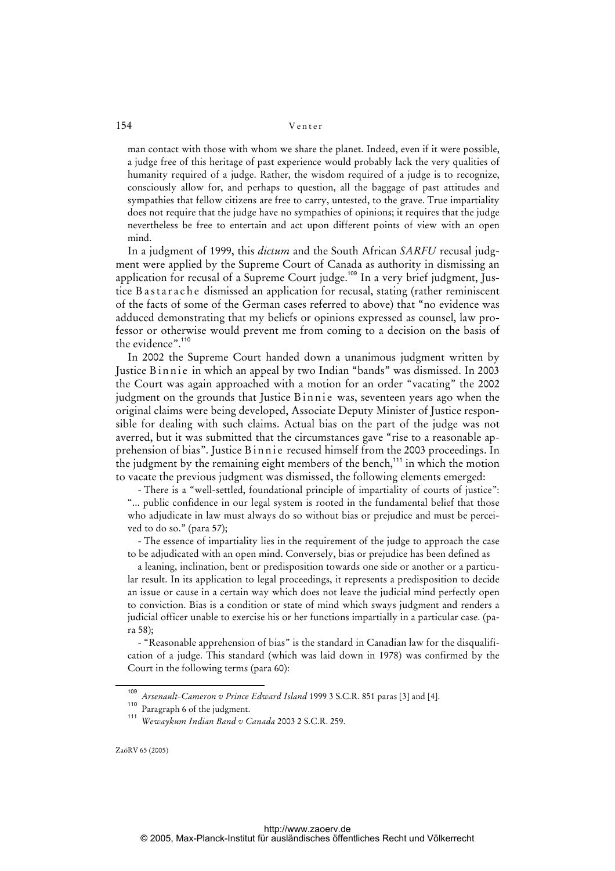man contact with those with whom we share the planet. Indeed, even if it were possible, a judge free of this heritage of past experience would probably lack the very qualities of humanity required of a judge. Rather, the wisdom required of a judge is to recognize, consciously allow for, and perhaps to question, all the baggage of past attitudes and sympathies that fellow citizens are free to carry, untested, to the grave. True impartiality does not require that the judge have no sympathies of opinions; it requires that the judge nevertheless be free to entertain and act upon different points of view with an open mind.

In a judgment of 1999, this *dictum* and the South African *SARFU* recusal judgment were applied by the Supreme Court of Canada as authority in dismissing an application for recusal of a Supreme Court judge.<sup>109</sup> In a very brief judgment, Justice B a starache dismissed an application for recusal, stating (rather reminiscent of the facts of some of the German cases referred to above) that "no evidence was adduced demonstrating that my beliefs or opinions expressed as counsel, law professor or otherwise would prevent me from coming to a decision on the basis of the evidence".<sup>110</sup>

In 2002 the Supreme Court handed down a unanimous judgment written by Justice Binnie in which an appeal by two Indian "bands" was dismissed. In 2003 the Court was again approached with a motion for an order "vacating" the 2002 judgment on the grounds that Justice B in n i e was, seventeen years ago when the original claims were being developed, Associate Deputy Minister of Justice responsible for dealing with such claims. Actual bias on the part of the judge was not averred, but it was submitted that the circumstances gave "rise to a reasonable apprehension of bias". Justice Binnie recused himself from the 2003 proceedings. In the judgment by the remaining eight members of the bench,<sup>111</sup> in which the motion to vacate the previous judgment was dismissed, the following elements emerged:

- There is a "well-settled, foundational principle of impartiality of courts of justice": "... public confidence in our legal system is rooted in the fundamental belief that those who adjudicate in law must always do so without bias or prejudice and must be perceived to do so." (para 57);

- The essence of impartiality lies in the requirement of the judge to approach the case to be adjudicated with an open mind. Conversely, bias or prejudice has been defined as

a leaning, inclination, bent or predisposition towards one side or another or a particular result. In its application to legal proceedings, it represents a predisposition to decide an issue or cause in a certain way which does not leave the judicial mind perfectly open to conviction. Bias is a condition or state of mind which sways judgment and renders a judicial officer unable to exercise his or her functions impartially in a particular case. (para 58);

- "Reasonable apprehension of bias" is the standard in Canadian law for the disqualification of a judge. This standard (which was laid down in 1978) was confirmed by the Court in the following terms (para 60):

<sup>109</sup> *Arsenault-Cameron v Prince Edward Island* 1999 3 S.C.R. 851 paras [3] and [4].

<sup>&</sup>lt;sup>110</sup> Paragraph 6 of the judgment.<br><sup>111</sup> Wassaskum Indian Band v C

<sup>111</sup> *Wewaykum Indian Band v Canada* 2003 2 S.C.R. 259.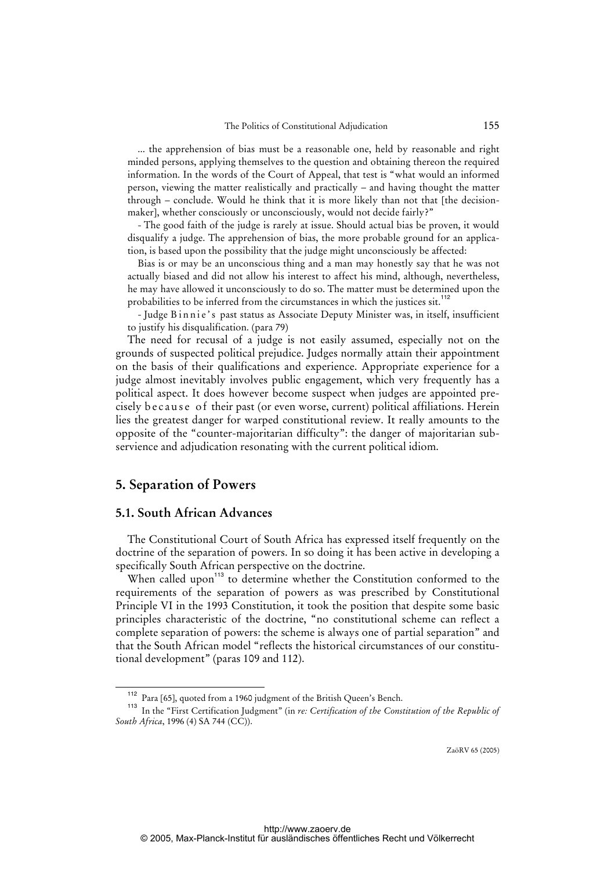... the apprehension of bias must be a reasonable one, held by reasonable and right minded persons, applying themselves to the question and obtaining thereon the required information. In the words of the Court of Appeal, that test is "what would an informed person, viewing the matter realistically and practically – and having thought the matter through – conclude. Would he think that it is more likely than not that [the decisionmaker], whether consciously or unconsciously, would not decide fairly?"

- The good faith of the judge is rarely at issue. Should actual bias be proven, it would disqualify a judge. The apprehension of bias, the more probable ground for an application, is based upon the possibility that the judge might unconsciously be affected:

Bias is or may be an unconscious thing and a man may honestly say that he was not actually biased and did not allow his interest to affect his mind, although, nevertheless, he may have allowed it unconsciously to do so. The matter must be determined upon the probabilities to be inferred from the circumstances in which the justices sit.<sup>112</sup>

- Judge Binnie's past status as Associate Deputy Minister was, in itself, insufficient to justify his disqualification. (para 79)

The need for recusal of a judge is not easily assumed, especially not on the grounds of suspected political prejudice. Judges normally attain their appointment on the basis of their qualifications and experience. Appropriate experience for a judge almost inevitably involves public engagement, which very frequently has a political aspect. It does however become suspect when judges are appointed precisely b e c a u s e of their past (or even worse, current) political affiliations. Herein lies the greatest danger for warped constitutional review. It really amounts to the opposite of the "counter-majoritarian difficulty": the danger of majoritarian subservience and adjudication resonating with the current political idiom.

## **5. Separation of Powers**

## **5.1. South African Advances**

The Constitutional Court of South Africa has expressed itself frequently on the doctrine of the separation of powers. In so doing it has been active in developing a specifically South African perspective on the doctrine.

When called upon<sup>113</sup> to determine whether the Constitution conformed to the requirements of the separation of powers as was prescribed by Constitutional Principle VI in the 1993 Constitution, it took the position that despite some basic principles characteristic of the doctrine, "no constitutional scheme can reflect a complete separation of powers: the scheme is always one of partial separation" and that the South African model "reflects the historical circumstances of our constitutional development" (paras 109 and 112).

<sup>112</sup> Para [65], quoted from a 1960 judgment of the British Queen's Bench.

<sup>113</sup> In the "First Certification Judgment" (in *re: Certification of the Constitution of the Republic of South Africa*, 1996 (4) SA 744 (CC)).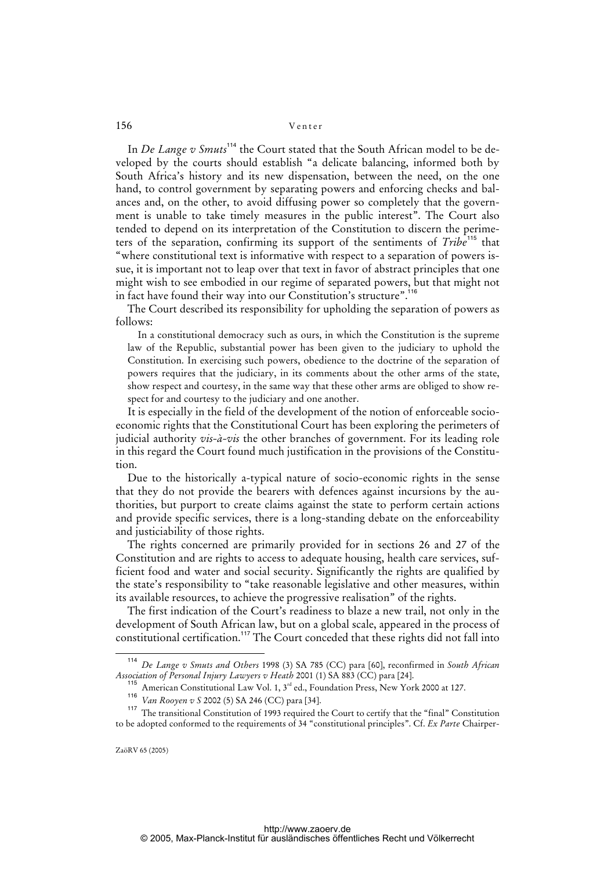In *De Lange v Smuts*<sup>114</sup> the Court stated that the South African model to be developed by the courts should establish "a delicate balancing, informed both by South Africa's history and its new dispensation, between the need, on the one hand, to control government by separating powers and enforcing checks and balances and, on the other, to avoid diffusing power so completely that the government is unable to take timely measures in the public interest". The Court also tended to depend on its interpretation of the Constitution to discern the perimeters of the separation, confirming its support of the sentiments of *Tribe*<sup>115</sup> that "where constitutional text is informative with respect to a separation of powers issue, it is important not to leap over that text in favor of abstract principles that one might wish to see embodied in our regime of separated powers, but that might not in fact have found their way into our Constitution's structure".<sup>116</sup>

The Court described its responsibility for upholding the separation of powers as follows:

In a constitutional democracy such as ours, in which the Constitution is the supreme law of the Republic, substantial power has been given to the judiciary to uphold the Constitution. In exercising such powers, obedience to the doctrine of the separation of powers requires that the judiciary, in its comments about the other arms of the state, show respect and courtesy, in the same way that these other arms are obliged to show respect for and courtesy to the judiciary and one another.

It is especially in the field of the development of the notion of enforceable socioeconomic rights that the Constitutional Court has been exploring the perimeters of judicial authority *vis-à-vis* the other branches of government. For its leading role in this regard the Court found much justification in the provisions of the Constitution.

Due to the historically a-typical nature of socio-economic rights in the sense that they do not provide the bearers with defences against incursions by the authorities, but purport to create claims against the state to perform certain actions and provide specific services, there is a long-standing debate on the enforceability and justiciability of those rights.

The rights concerned are primarily provided for in sections 26 and 27 of the Constitution and are rights to access to adequate housing, health care services, sufficient food and water and social security. Significantly the rights are qualified by the state's responsibility to "take reasonable legislative and other measures, within its available resources, to achieve the progressive realisation" of the rights.

The first indication of the Court's readiness to blaze a new trail, not only in the development of South African law, but on a global scale, appeared in the process of constitutional certification.<sup>117</sup> The Court conceded that these rights did not fall into

<sup>114</sup> *De Lange v Smuts and Others* 1998 (3) SA 785 (CC) para [60], reconfirmed in *South African Association of Personal Injury Lawyers v Heath* 2001 (1) SA 883 (CC) para [24].

American Constitutional Law Vol. 1, 3<sup>rd</sup> ed., Foundation Press, New York 2000 at 127.

<sup>116</sup> *Van Rooyen v S* 2002 (5) SA 246 (CC) para [34].

<sup>&</sup>lt;sup>117</sup> The transitional Constitution of 1993 required the Court to certify that the "final" Constitution [to be adopted conformed to the requirements of 34 "constitutional principles". Cf.](Chairper-http://Za�RV) *Ex Parte* Chairper-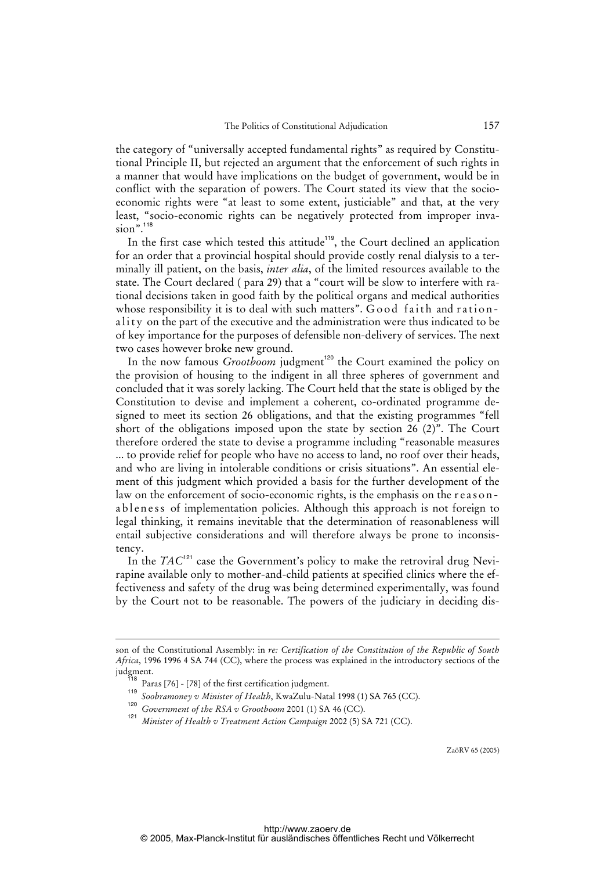the category of "universally accepted fundamental rights" as required by Constitutional Principle II, but rejected an argument that the enforcement of such rights in a manner that would have implications on the budget of government, would be in conflict with the separation of powers. The Court stated its view that the socioeconomic rights were "at least to some extent, justiciable" and that, at the very least, "socio-economic rights can be negatively protected from improper invasion".<sup>118</sup>

In the first case which tested this attitude<sup>119</sup>, the Court declined an application for an order that a provincial hospital should provide costly renal dialysis to a terminally ill patient, on the basis, *inter alia*, of the limited resources available to the state. The Court declared ( para 29) that a "court will be slow to interfere with rational decisions taken in good faith by the political organs and medical authorities whose responsibility it is to deal with such matters". Good faith and rationality on the part of the executive and the administration were thus indicated to be of key importance for the purposes of defensible non-delivery of services. The next two cases however broke new ground.

In the now famous *Grootboom* judgment<sup>120</sup> the Court examined the policy on the provision of housing to the indigent in all three spheres of government and concluded that it was sorely lacking. The Court held that the state is obliged by the Constitution to devise and implement a coherent, co-ordinated programme designed to meet its section 26 obligations, and that the existing programmes "fell short of the obligations imposed upon the state by section 26 (2)". The Court therefore ordered the state to devise a programme including "reasonable measures ... to provide relief for people who have no access to land, no roof over their heads, and who are living in intolerable conditions or crisis situations". An essential element of this judgment which provided a basis for the further development of the law on the enforcement of socio-economic rights, is the emphasis on the reasonab l e n e s s of implementation policies. Although this approach is not foreign to legal thinking, it remains inevitable that the determination of reasonableness will entail subjective considerations and will therefore always be prone to inconsistency.

In the *TAC*<sup>121</sup> case the Government's policy to make the retroviral drug Nevirapine available only to mother-and-child patients at specified clinics where the effectiveness and safety of the drug was being determined experimentally, was found by the Court not to be reasonable. The powers of the judiciary in deciding dis-

l

son of the Constitutional Assembly: in *re: Certification of the Constitution of the Republic of South Africa*, 1996 1996 4 SA 744 (CC), where the process was explained in the introductory sections of the judgment.

<sup>&</sup>lt;sup>118</sup> Paras [76] - [78] of the first certification judgment.

*Soobramoney v Minister of Health*, KwaZulu-Natal 1998 (1) SA 765 (CC).

<sup>120</sup> *Government of the RSA v Grootboom* 2001 (1) SA 46 (CC).

<sup>121</sup> *Minister of Health v Treatment Action Campaign* 2002 (5) SA 721 (CC).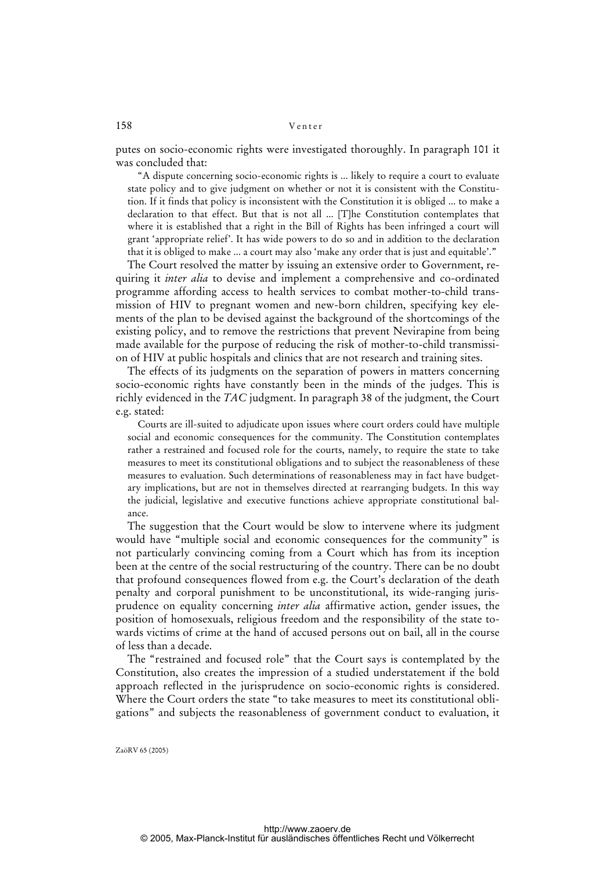putes on socio-economic rights were investigated thoroughly. In paragraph 101 it was concluded that:

"A dispute concerning socio-economic rights is ... likely to require a court to evaluate state policy and to give judgment on whether or not it is consistent with the Constitution. If it finds that policy is inconsistent with the Constitution it is obliged ... to make a declaration to that effect. But that is not all ... [T]he Constitution contemplates that where it is established that a right in the Bill of Rights has been infringed a court will grant 'appropriate relief'. It has wide powers to do so and in addition to the declaration that it is obliged to make ... a court may also 'make any order that is just and equitable'."

The Court resolved the matter by issuing an extensive order to Government, requiring it *inter alia* to devise and implement a comprehensive and co-ordinated programme affording access to health services to combat mother-to-child transmission of HIV to pregnant women and new-born children, specifying key elements of the plan to be devised against the background of the shortcomings of the existing policy, and to remove the restrictions that prevent Nevirapine from being made available for the purpose of reducing the risk of mother-to-child transmission of HIV at public hospitals and clinics that are not research and training sites.

The effects of its judgments on the separation of powers in matters concerning socio-economic rights have constantly been in the minds of the judges. This is richly evidenced in the *TAC* judgment. In paragraph 38 of the judgment, the Court e.g. stated:

Courts are ill-suited to adjudicate upon issues where court orders could have multiple social and economic consequences for the community. The Constitution contemplates rather a restrained and focused role for the courts, namely, to require the state to take measures to meet its constitutional obligations and to subject the reasonableness of these measures to evaluation. Such determinations of reasonableness may in fact have budgetary implications, but are not in themselves directed at rearranging budgets. In this way the judicial, legislative and executive functions achieve appropriate constitutional balance.

The suggestion that the Court would be slow to intervene where its judgment would have "multiple social and economic consequences for the community" is not particularly convincing coming from a Court which has from its inception been at the centre of the social restructuring of the country. There can be no doubt that profound consequences flowed from e.g. the Court's declaration of the death penalty and corporal punishment to be unconstitutional, its wide-ranging jurisprudence on equality concerning *inter alia* affirmative action, gender issues, the position of homosexuals, religious freedom and the responsibility of the state towards victims of crime at the hand of accused persons out on bail, all in the course of less than a decade.

The "restrained and focused role" that the Court says is contemplated by the Constitution, also creates the impression of a studied understatement if the bold approach reflected in the jurisprudence on socio-economic rights is considered. Where the Court orders the state "to take measures to meet its constitutional obligations" and subjects the reasonableness of government conduct to evaluation, it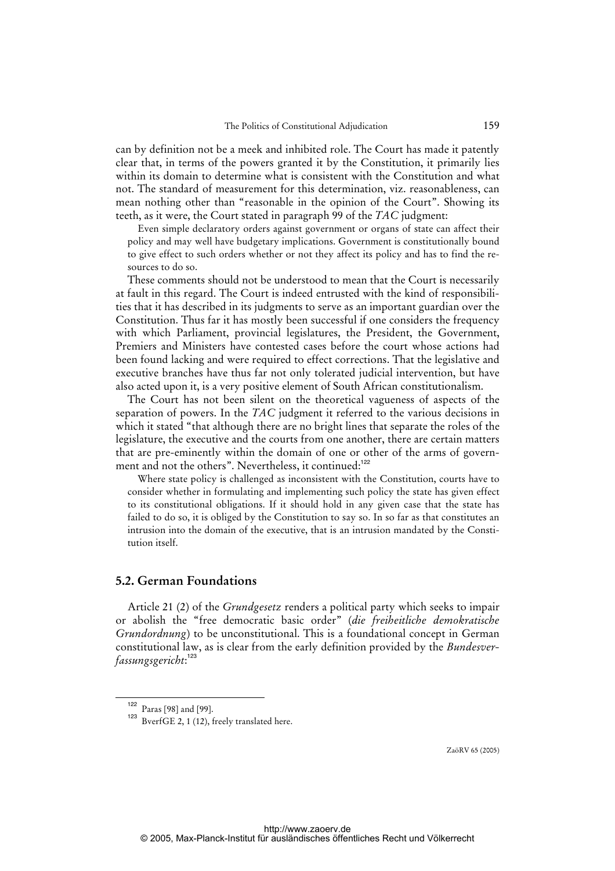can by definition not be a meek and inhibited role. The Court has made it patently clear that, in terms of the powers granted it by the Constitution, it primarily lies within its domain to determine what is consistent with the Constitution and what not. The standard of measurement for this determination, viz. reasonableness, can mean nothing other than "reasonable in the opinion of the Court". Showing its teeth, as it were, the Court stated in paragraph 99 of the *TAC* judgment:

Even simple declaratory orders against government or organs of state can affect their policy and may well have budgetary implications. Government is constitutionally bound to give effect to such orders whether or not they affect its policy and has to find the resources to do so.

These comments should not be understood to mean that the Court is necessarily at fault in this regard. The Court is indeed entrusted with the kind of responsibilities that it has described in its judgments to serve as an important guardian over the Constitution. Thus far it has mostly been successful if one considers the frequency with which Parliament, provincial legislatures, the President, the Government, Premiers and Ministers have contested cases before the court whose actions had been found lacking and were required to effect corrections. That the legislative and executive branches have thus far not only tolerated judicial intervention, but have also acted upon it, is a very positive element of South African constitutionalism.

The Court has not been silent on the theoretical vagueness of aspects of the separation of powers. In the *TAC* judgment it referred to the various decisions in which it stated "that although there are no bright lines that separate the roles of the legislature, the executive and the courts from one another, there are certain matters that are pre-eminently within the domain of one or other of the arms of government and not the others". Nevertheless, it continued:<sup>122</sup>

Where state policy is challenged as inconsistent with the Constitution, courts have to consider whether in formulating and implementing such policy the state has given effect to its constitutional obligations. If it should hold in any given case that the state has failed to do so, it is obliged by the Constitution to say so. In so far as that constitutes an intrusion into the domain of the executive, that is an intrusion mandated by the Constitution itself.

## **5.2. German Foundations**

Article 21 (2) of the *Grundgesetz* renders a political party which seeks to impair or abolish the "free democratic basic order" (*die freiheitliche demokratische Grundordnung*) to be unconstitutional. This is a foundational concept in German constitutional law, as is clear from the early definition provided by the *Bundesverfassungsgericht*: 123

<sup>122</sup> Paras [98] and [99].

<sup>123</sup> BverfGE 2, 1 (12), freely translated here.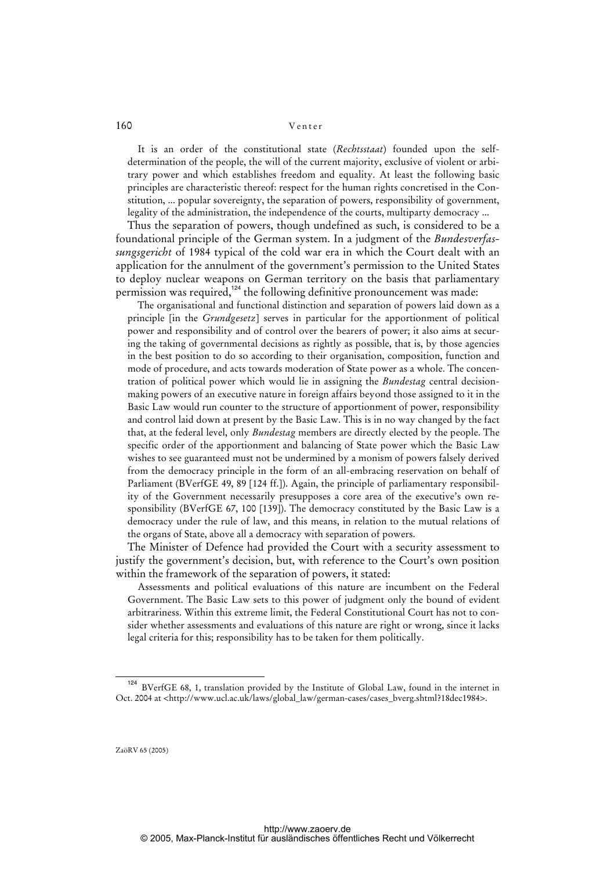It is an order of the constitutional state (*Rechtsstaat*) founded upon the selfdetermination of the people, the will of the current majority, exclusive of violent or arbitrary power and which establishes freedom and equality. At least the following basic principles are characteristic thereof: respect for the human rights concretised in the Constitution, ... popular sovereignty, the separation of powers, responsibility of government, legality of the administration, the independence of the courts, multiparty democracy ...

Thus the separation of powers, though undefined as such, is considered to be a foundational principle of the German system. In a judgment of the *Bundesverfassungsgericht* of 1984 typical of the cold war era in which the Court dealt with an application for the annulment of the government's permission to the United States to deploy nuclear weapons on German territory on the basis that parliamentary permission was required,<sup>124</sup> the following definitive pronouncement was made:

The organisational and functional distinction and separation of powers laid down as a principle [in the *Grundgesetz*] serves in particular for the apportionment of political power and responsibility and of control over the bearers of power; it also aims at securing the taking of governmental decisions as rightly as possible, that is, by those agencies in the best position to do so according to their organisation, composition, function and mode of procedure, and acts towards moderation of State power as a whole. The concentration of political power which would lie in assigning the *Bundestag* central decisionmaking powers of an executive nature in foreign affairs beyond those assigned to it in the Basic Law would run counter to the structure of apportionment of power, responsibility and control laid down at present by the Basic Law. This is in no way changed by the fact that, at the federal level, only *Bundestag* members are directly elected by the people. The specific order of the apportionment and balancing of State power which the Basic Law wishes to see guaranteed must not be undermined by a monism of powers falsely derived from the democracy principle in the form of an all-embracing reservation on behalf of Parliament (BVerfGE 49, 89 [124 ff.]). Again, the principle of parliamentary responsibility of the Government necessarily presupposes a core area of the executive's own responsibility (BVerfGE 67, 100 [139]). The democracy constituted by the Basic Law is a democracy under the rule of law, and this means, in relation to the mutual relations of the organs of State, above all a democracy with separation of powers.

The Minister of Defence had provided the Court with a security assessment to justify the government's decision, but, with reference to the Court's own position within the framework of the separation of powers, it stated:

Assessments and political evaluations of this nature are incumbent on the Federal Government. The Basic Law sets to this power of judgment only the bound of evident arbitrariness. Within this extreme limit, the Federal Constitutional Court has not to consider whether assessments and evaluations of this nature are right or wrong, since it lacks legal criteria for this; responsibility has to be taken for them politically.

<sup>&</sup>lt;sup>124</sup> BVerfGE 68, 1, translation provided by the Institute of Global Law, found in the internet in Oct. 2004 at [<http://www.ucl.ac.uk/laws/global\\_law/german-cases/cases\\_bverg.shtml?18dec1984](http://www.ucl.ac.uk/laws/global_law/german-cases/cases_bverg.shtml?18dec1984)>.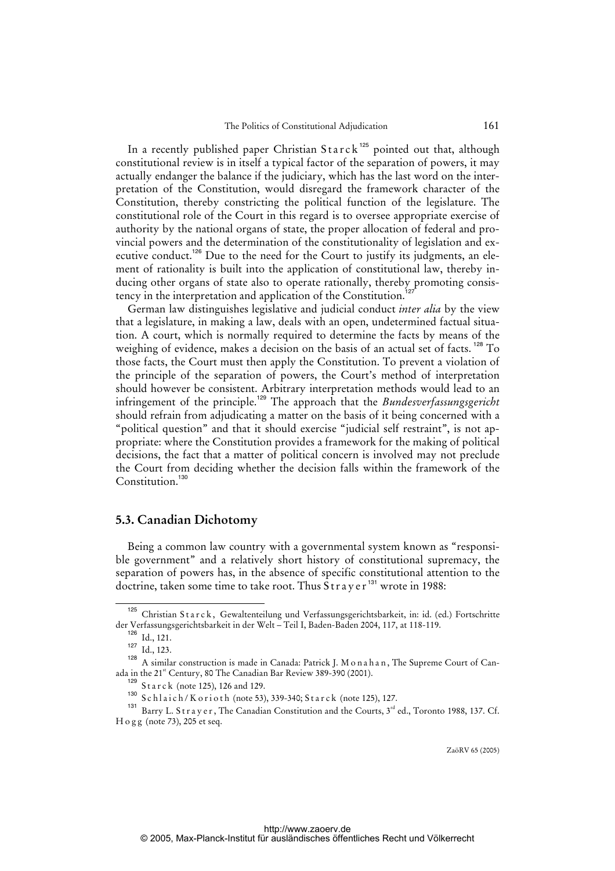In a recently published paper Christian Starck<sup>125</sup> pointed out that, although constitutional review is in itself a typical factor of the separation of powers, it may actually endanger the balance if the judiciary, which has the last word on the interpretation of the Constitution, would disregard the framework character of the Constitution, thereby constricting the political function of the legislature. The constitutional role of the Court in this regard is to oversee appropriate exercise of authority by the national organs of state, the proper allocation of federal and provincial powers and the determination of the constitutionality of legislation and executive conduct.<sup>126</sup> Due to the need for the Court to justify its judgments, an element of rationality is built into the application of constitutional law, thereby inducing other organs of state also to operate rationally, thereby promoting consistency in the interpretation and application of the Constitution.<sup>1</sup>

German law distinguishes legislative and judicial conduct *inter alia* by the view that a legislature, in making a law, deals with an open, undetermined factual situation. A court, which is normally required to determine the facts by means of the weighing of evidence, makes a decision on the basis of an actual set of facts.<sup>128</sup> To those facts, the Court must then apply the Constitution. To prevent a violation of the principle of the separation of powers, the Court's method of interpretation should however be consistent. Arbitrary interpretation methods would lead to an infringement of the principle.<sup>129</sup> The approach that the *Bundesverfassungsgericht* should refrain from adjudicating a matter on the basis of it being concerned with a "political question" and that it should exercise "judicial self restraint", is not appropriate: where the Constitution provides a framework for the making of political decisions, the fact that a matter of political concern is involved may not preclude the Court from deciding whether the decision falls within the framework of the Constitution.<sup>130</sup>

## **5.3. Canadian Dichotomy**

Being a common law country with a governmental system known as "responsible government" and a relatively short history of constitutional supremacy, the separation of powers has, in the absence of specific constitutional attention to the doctrine, taken some time to take root. Thus S t r a y e r<sup>131</sup> wrote in 1988:

<sup>125</sup> Christian S t a r c k , Gewaltenteilung und Verfassungsgerichtsbarkeit, in: id. (ed.) Fortschritte der Verfassungsgerichtsbarkeit in der Welt – Teil I, Baden-Baden 2004, 117, at 118-119.

 $126$  Id., 121.

 $127$  Id., 123.

<sup>128</sup> A similar construction is made in Canada: Patrick J. M o n a h a n, The Supreme Court of Canada in the 21<sup>st</sup> Century, 80 The Canadian Bar Review 389-390 (2001).

<sup>129</sup> S t a r c k (note 125), 126 and 129.

<sup>130</sup> Scalaich/K orioth (note 53), 339-340; Starck (note 125), 127.

<sup>&</sup>lt;sup>131</sup> Barry L. Strayer, The Canadian Constitution and the Courts, 3<sup>rd</sup> ed., Toronto 1988, 137. Cf.  $H \circ g$  (note 73), 205 et seq.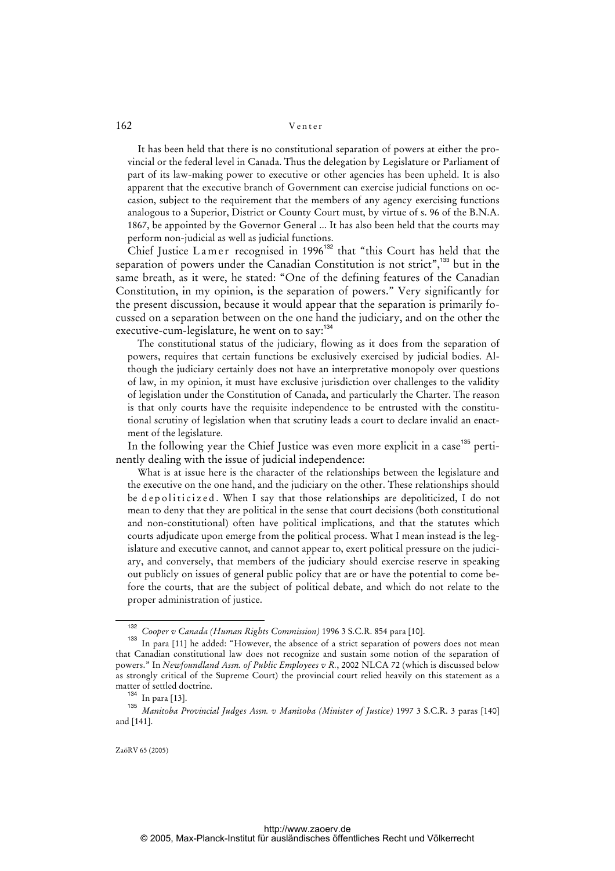It has been held that there is no constitutional separation of powers at either the provincial or the federal level in Canada. Thus the delegation by Legislature or Parliament of part of its law-making power to executive or other agencies has been upheld. It is also apparent that the executive branch of Government can exercise judicial functions on occasion, subject to the requirement that the members of any agency exercising functions analogous to a Superior, District or County Court must, by virtue of s. 96 of the B.N.A. 1867, be appointed by the Governor General ... It has also been held that the courts may perform non-judicial as well as judicial functions.

Chief Justice Lamer recognised in 1996<sup>132</sup> that "this Court has held that the separation of powers under the Canadian Constitution is not strict",<sup>133</sup> but in the same breath, as it were, he stated: "One of the defining features of the Canadian Constitution, in my opinion, is the separation of powers." Very significantly for the present discussion, because it would appear that the separation is primarily focussed on a separation between on the one hand the judiciary, and on the other the executive-cum-legislature, he went on to say:<sup>134</sup>

The constitutional status of the judiciary, flowing as it does from the separation of powers, requires that certain functions be exclusively exercised by judicial bodies. Although the judiciary certainly does not have an interpretative monopoly over questions of law, in my opinion, it must have exclusive jurisdiction over challenges to the validity of legislation under the Constitution of Canada, and particularly the Charter. The reason is that only courts have the requisite independence to be entrusted with the constitutional scrutiny of legislation when that scrutiny leads a court to declare invalid an enactment of the legislature.

In the following year the Chief Justice was even more explicit in a case<sup>135</sup> pertinently dealing with the issue of judicial independence:

What is at issue here is the character of the relationships between the legislature and the executive on the one hand, and the judiciary on the other. These relationships should be depoliticized. When I say that those relationships are depoliticized, I do not mean to deny that they are political in the sense that court decisions (both constitutional and non-constitutional) often have political implications, and that the statutes which courts adjudicate upon emerge from the political process. What I mean instead is the legislature and executive cannot, and cannot appear to, exert political pressure on the judiciary, and conversely, that members of the judiciary should exercise reserve in speaking out publicly on issues of general public policy that are or have the potential to come before the courts, that are the subject of political debate, and which do not relate to the proper administration of justice.

<sup>132</sup> *Cooper v Canada (Human Rights Commission)* 1996 3 S.C.R. 854 para [10].

In para [11] he added: "However, the absence of a strict separation of powers does not mean that Canadian constitutional law does not recognize and sustain some notion of the separation of powers." In *Newfoundland Assn. of Public Employees v R.*, 2002 NLCA 72 (which is discussed below as strongly critical of the Supreme Court) the provincial court relied heavily on this statement as a matter of settled doctrine.

<sup>134</sup> In para [13].

<sup>135</sup> *Manitoba Provincial Judges Assn. v Manitoba (Minister of Justice)* 1997 3 S.C.R. 3 paras [140] and [141].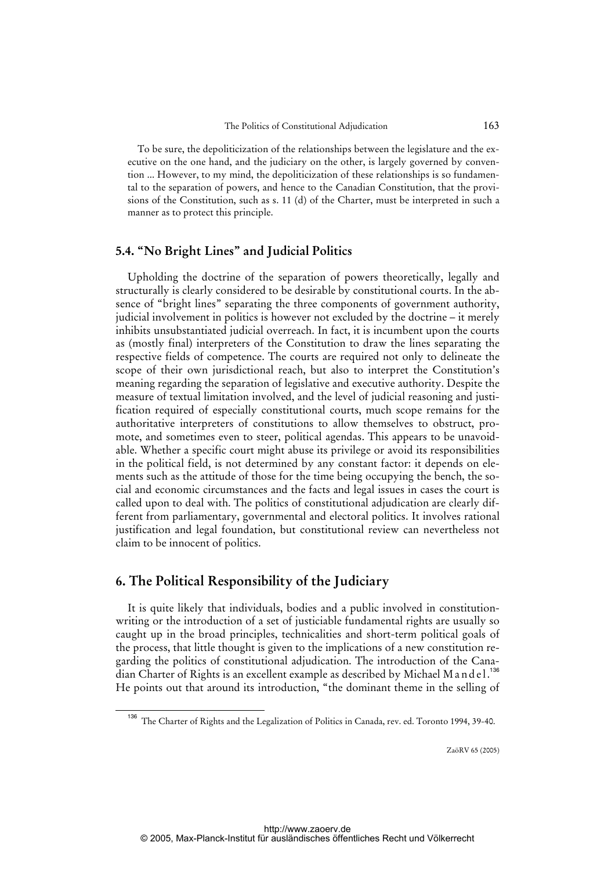To be sure, the depoliticization of the relationships between the legislature and the executive on the one hand, and the judiciary on the other, is largely governed by convention ... However, to my mind, the depoliticization of these relationships is so fundamental to the separation of powers, and hence to the Canadian Constitution, that the provisions of the Constitution, such as s. 11 (d) of the Charter, must be interpreted in such a manner as to protect this principle.

## **5.4. "No Bright Lines" and Judicial Politics**

Upholding the doctrine of the separation of powers theoretically, legally and structurally is clearly considered to be desirable by constitutional courts. In the absence of "bright lines" separating the three components of government authority, judicial involvement in politics is however not excluded by the doctrine – it merely inhibits unsubstantiated judicial overreach. In fact, it is incumbent upon the courts as (mostly final) interpreters of the Constitution to draw the lines separating the respective fields of competence. The courts are required not only to delineate the scope of their own jurisdictional reach, but also to interpret the Constitution's meaning regarding the separation of legislative and executive authority. Despite the measure of textual limitation involved, and the level of judicial reasoning and justification required of especially constitutional courts, much scope remains for the authoritative interpreters of constitutions to allow themselves to obstruct, promote, and sometimes even to steer, political agendas. This appears to be unavoidable. Whether a specific court might abuse its privilege or avoid its responsibilities in the political field, is not determined by any constant factor: it depends on elements such as the attitude of those for the time being occupying the bench, the social and economic circumstances and the facts and legal issues in cases the court is called upon to deal with. The politics of constitutional adjudication are clearly different from parliamentary, governmental and electoral politics. It involves rational justification and legal foundation, but constitutional review can nevertheless not claim to be innocent of politics.

## **6. The Political Responsibility of the Judiciary**

It is quite likely that individuals, bodies and a public involved in constitutionwriting or the introduction of a set of justiciable fundamental rights are usually so caught up in the broad principles, technicalities and short-term political goals of the process, that little thought is given to the implications of a new constitution regarding the politics of constitutional adjudication. The introduction of the Canadian Charter of Rights is an excellent example as described by Michael M a n d e l.<sup>136</sup> He points out that around its introduction, "the dominant theme in the selling of

<sup>136</sup> The Charter of Rights and the Legalization of Politics in Canada, rev. ed. Toronto 1994, 39-40.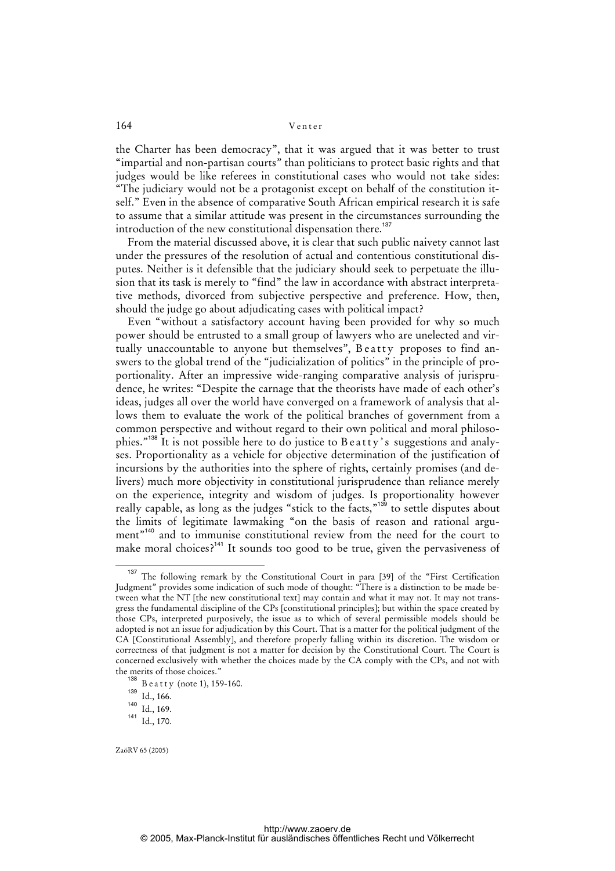the Charter has been democracy", that it was argued that it was better to trust "impartial and non-partisan courts" than politicians to protect basic rights and that judges would be like referees in constitutional cases who would not take sides: "The judiciary would not be a protagonist except on behalf of the constitution itself." Even in the absence of comparative South African empirical research it is safe to assume that a similar attitude was present in the circumstances surrounding the introduction of the new constitutional dispensation there.<sup>137</sup>

From the material discussed above, it is clear that such public naivety cannot last under the pressures of the resolution of actual and contentious constitutional disputes. Neither is it defensible that the judiciary should seek to perpetuate the illusion that its task is merely to "find" the law in accordance with abstract interpretative methods, divorced from subjective perspective and preference. How, then, should the judge go about adjudicating cases with political impact?

Even "without a satisfactory account having been provided for why so much power should be entrusted to a small group of lawyers who are unelected and virtually unaccountable to anyone but themselves", Beatty proposes to find answers to the global trend of the "judicialization of politics" in the principle of proportionality. After an impressive wide-ranging comparative analysis of jurisprudence, he writes: "Despite the carnage that the theorists have made of each other's ideas, judges all over the world have converged on a framework of analysis that allows them to evaluate the work of the political branches of government from a common perspective and without regard to their own political and moral philosophies."<sup>138</sup> It is not possible here to do justice to B eatty's suggestions and analyses. Proportionality as a vehicle for objective determination of the justification of incursions by the authorities into the sphere of rights, certainly promises (and delivers) much more objectivity in constitutional jurisprudence than reliance merely on the experience, integrity and wisdom of judges. Is proportionality however really capable, as long as the judges "stick to the facts,"<sup>139</sup> to settle disputes about the limits of legitimate lawmaking "on the basis of reason and rational argument"<sup>140</sup> and to immunise constitutional review from the need for the court to make moral choices?<sup>141</sup> It sounds too good to be true, given the pervasiveness of

<sup>&</sup>lt;sup>137</sup> The following remark by the Constitutional Court in para [39] of the "First Certification Judgment" provides some indication of such mode of thought: "There is a distinction to be made between what the NT [the new constitutional text] may contain and what it may not. It may not transgress the fundamental discipline of the CPs [constitutional principles]; but within the space created by those CPs, interpreted purposively, the issue as to which of several permissible models should be adopted is not an issue for adjudication by this Court. That is a matter for the political judgment of the CA [Constitutional Assembly], and therefore properly falling within its discretion. The wisdom or correctness of that judgment is not a matter for decision by the Constitutional Court. The Court is concerned exclusively with whether the choices made by the CA comply with the CPs, and not with the merits of those choices."

 $138$  B e a t t y (note 1), 159-160.

 $139 \text{ Id.}, 166.$ 

<sup>140</sup> Id., 169.

<sup>141</sup> Id., 170.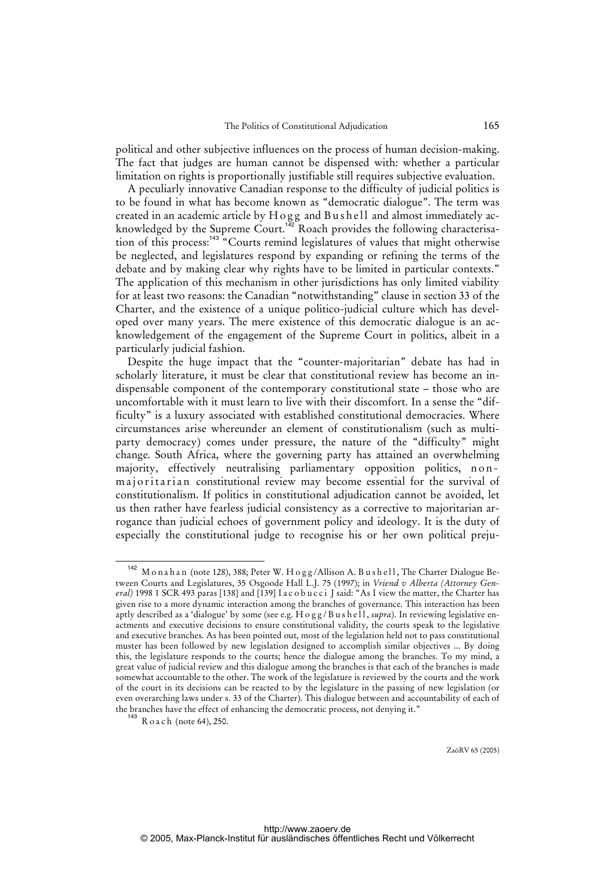political and other subjective influences on the process of human decision-making. The fact that judges are human cannot be dispensed with: whether a particular limitation on rights is proportionally justifiable still requires subjective evaluation.

A peculiarly innovative Canadian response to the difficulty of judicial politics is to be found in what has become known as "democratic dialogue". The term was created in an academic article by H o g g and B u s h e l l and almost immediately acknowledged by the Supreme Court.<sup>142</sup> Roach provides the following characterisation of this process:<sup>143 "</sup>Courts remind legislatures of values that might otherwise be neglected, and legislatures respond by expanding or refining the terms of the debate and by making clear why rights have to be limited in particular contexts." The application of this mechanism in other jurisdictions has only limited viability for at least two reasons: the Canadian "notwithstanding" clause in section 33 of the Charter, and the existence of a unique politico-judicial culture which has developed over many years. The mere existence of this democratic dialogue is an acknowledgement of the engagement of the Supreme Court in politics, albeit in a particularly judicial fashion.

Despite the huge impact that the "counter-majoritarian" debate has had in scholarly literature, it must be clear that constitutional review has become an indispensable component of the contemporary constitutional state – those who are uncomfortable with it must learn to live with their discomfort. In a sense the "difficulty" is a luxury associated with established constitutional democracies. Where circumstances arise whereunder an element of constitutionalism (such as multiparty democracy) comes under pressure, the nature of the "difficulty" might change. South Africa, where the governing party has attained an overwhelming majority, effectively neutralising parliamentary opposition politics, nonmajoritarian constitutional review may become essential for the survival of constitutionalism. If politics in constitutional adjudication cannot be avoided, let us then rather have fearless judicial consistency as a corrective to majoritarian arrogance than judicial echoes of government policy and ideology. It is the duty of especially the constitutional judge to recognise his or her own political preju-

M o n a h a n (note 128), 388; Peter W. H o g g / Allison A. B u s h e l l, The Charter Dialogue Between Courts and Legislatures, 35 Osgoode Hall L.J. 75 (1997); in *Vriend v Alberta (Attorney General)* 1998 1 SCR 493 paras [138] and [139] I a c o b u c c i J said: "As I view the matter, the Charter has given rise to a more dynamic interaction among the branches of governance. This interaction has been aptly described as a 'dialogue' by some (see e.g. H o g g / B u s h e l l, supra). In reviewing legislative enactments and executive decisions to ensure constitutional validity, the courts speak to the legislative and executive branches. As has been pointed out, most of the legislation held not to pass constitutional muster has been followed by new legislation designed to accomplish similar objectives ... By doing this, the legislature responds to the courts; hence the dialogue among the branches. To my mind, a great value of judicial review and this dialogue among the branches is that each of the branches is made somewhat accountable to the other. The work of the legislature is reviewed by the courts and the work of the court in its decisions can be reacted to by the legislature in the passing of new legislation (or even overarching laws under s. 33 of the Charter). This dialogue between and accountability of each of the branches have the effect of enhancing the democratic process, not denying it."

<sup>143</sup> R o a c h (note 64), 250.